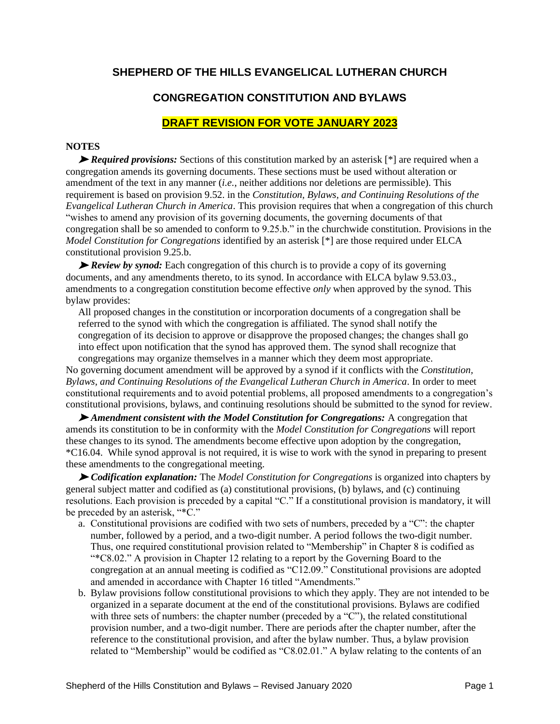# **SHEPHERD OF THE HILLS EVANGELICAL LUTHERAN CHURCH**

# **CONGREGATION CONSTITUTION AND BYLAWS**

# **DRAFT REVISION FOR VOTE JANUARY 2023**

## **NOTES**

➤ *Required provisions:* Sections of this constitution marked by an asterisk [\*] are required when a congregation amends its governing documents. These sections must be used without alteration or amendment of the text in any manner (*i.e.*, neither additions nor deletions are permissible). This requirement is based on provision 9.52. in the *Constitution, Bylaws, and Continuing Resolutions of the Evangelical Lutheran Church in America*. This provision requires that when a congregation of this church "wishes to amend any provision of its governing documents, the governing documents of that congregation shall be so amended to conform to 9.25.b." in the churchwide constitution. Provisions in the *Model Constitution for Congregations* identified by an asterisk [\*] are those required under ELCA constitutional provision 9.25.b.

➤ *Review by synod:* Each congregation of this church is to provide a copy of its governing documents, and any amendments thereto, to its synod. In accordance with ELCA bylaw 9.53.03., amendments to a congregation constitution become effective *only* when approved by the synod. This bylaw provides:

All proposed changes in the constitution or incorporation documents of a congregation shall be referred to the synod with which the congregation is affiliated. The synod shall notify the congregation of its decision to approve or disapprove the proposed changes; the changes shall go into effect upon notification that the synod has approved them. The synod shall recognize that congregations may organize themselves in a manner which they deem most appropriate.

No governing document amendment will be approved by a synod if it conflicts with the *Constitution, Bylaws, and Continuing Resolutions of the Evangelical Lutheran Church in America*. In order to meet constitutional requirements and to avoid potential problems, all proposed amendments to a congregation's constitutional provisions, bylaws, and continuing resolutions should be submitted to the synod for review.

➤ *Amendment consistent with the Model Constitution for Congregations:* A congregation that amends its constitution to be in conformity with the *Model Constitution for Congregations* will report these changes to its synod. The amendments become effective upon adoption by the congregation, \*C16.04. While synod approval is not required, it is wise to work with the synod in preparing to present these amendments to the congregational meeting.

➤ *Codification explanation:* The *Model Constitution for Congregations* is organized into chapters by general subject matter and codified as (a) constitutional provisions, (b) bylaws, and (c) continuing resolutions. Each provision is preceded by a capital "C." If a constitutional provision is mandatory, it will be preceded by an asterisk, "\*C."

- a. Constitutional provisions are codified with two sets of numbers, preceded by a "C": the chapter number, followed by a period, and a two-digit number. A period follows the two-digit number. Thus, one required constitutional provision related to "Membership" in Chapter 8 is codified as "\*C8.02." A provision in Chapter 12 relating to a report by the Governing Board to the congregation at an annual meeting is codified as "C12.09." Constitutional provisions are adopted and amended in accordance with Chapter 16 titled "Amendments."
- b. Bylaw provisions follow constitutional provisions to which they apply. They are not intended to be organized in a separate document at the end of the constitutional provisions. Bylaws are codified with three sets of numbers: the chapter number (preceded by a "C"), the related constitutional provision number, and a two-digit number. There are periods after the chapter number, after the reference to the constitutional provision, and after the bylaw number. Thus, a bylaw provision related to "Membership" would be codified as "C8.02.01." A bylaw relating to the contents of an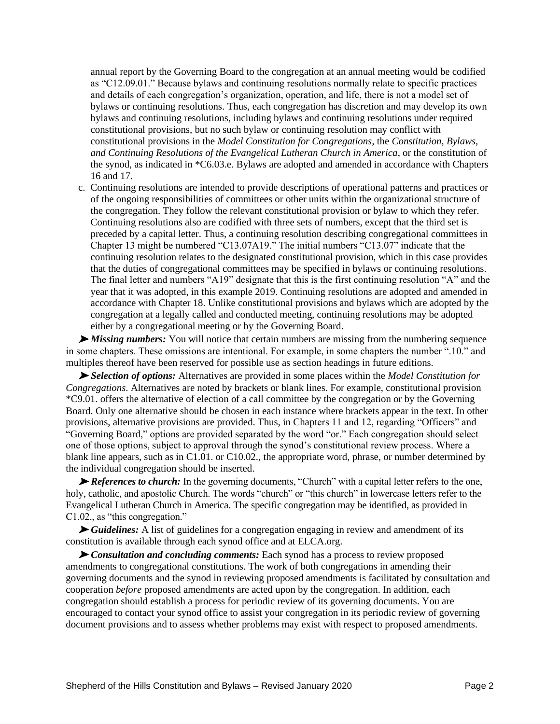annual report by the Governing Board to the congregation at an annual meeting would be codified as "C12.09.01." Because bylaws and continuing resolutions normally relate to specific practices and details of each congregation's organization, operation, and life, there is not a model set of bylaws or continuing resolutions. Thus, each congregation has discretion and may develop its own bylaws and continuing resolutions, including bylaws and continuing resolutions under required constitutional provisions, but no such bylaw or continuing resolution may conflict with constitutional provisions in the *Model Constitution for Congregations*, the *Constitution, Bylaws, and Continuing Resolutions of the Evangelical Lutheran Church in America*, or the constitution of the synod, as indicated in \*C6.03.e. Bylaws are adopted and amended in accordance with Chapters 16 and 17.

c. Continuing resolutions are intended to provide descriptions of operational patterns and practices or of the ongoing responsibilities of committees or other units within the organizational structure of the congregation. They follow the relevant constitutional provision or bylaw to which they refer. Continuing resolutions also are codified with three sets of numbers, except that the third set is preceded by a capital letter. Thus, a continuing resolution describing congregational committees in Chapter 13 might be numbered "C13.07A19." The initial numbers "C13.07" indicate that the continuing resolution relates to the designated constitutional provision, which in this case provides that the duties of congregational committees may be specified in bylaws or continuing resolutions. The final letter and numbers "A19" designate that this is the first continuing resolution "A" and the year that it was adopted, in this example 2019. Continuing resolutions are adopted and amended in accordance with Chapter 18. Unlike constitutional provisions and bylaws which are adopted by the congregation at a legally called and conducted meeting, continuing resolutions may be adopted either by a congregational meeting or by the Governing Board.

➤ *Missing numbers:* You will notice that certain numbers are missing from the numbering sequence in some chapters. These omissions are intentional. For example, in some chapters the number ".10." and multiples thereof have been reserved for possible use as section headings in future editions.

➤ *Selection of options:* Alternatives are provided in some places within the *Model Constitution for Congregations*. Alternatives are noted by brackets or blank lines. For example, constitutional provision \*C9.01. offers the alternative of election of a call committee by the congregation or by the Governing Board. Only one alternative should be chosen in each instance where brackets appear in the text. In other provisions, alternative provisions are provided. Thus, in Chapters 11 and 12, regarding "Officers" and "Governing Board," options are provided separated by the word "or." Each congregation should select one of those options, subject to approval through the synod's constitutional review process. Where a blank line appears, such as in C1.01. or C10.02., the appropriate word, phrase, or number determined by the individual congregation should be inserted.

► *References to church:* In the governing documents, "Church" with a capital letter refers to the one, holy, catholic, and apostolic Church. The words "church" or "this church" in lowercase letters refer to the Evangelical Lutheran Church in America. The specific congregation may be identified, as provided in C1.02., as "this congregation."

➤ *Guidelines:* A list of guidelines for a congregation engaging in review and amendment of its constitution is available through each synod office and at ELCA.org.

➤ *Consultation and concluding comments:* Each synod has a process to review proposed amendments to congregational constitutions. The work of both congregations in amending their governing documents and the synod in reviewing proposed amendments is facilitated by consultation and cooperation *before* proposed amendments are acted upon by the congregation. In addition, each congregation should establish a process for periodic review of its governing documents. You are encouraged to contact your synod office to assist your congregation in its periodic review of governing document provisions and to assess whether problems may exist with respect to proposed amendments.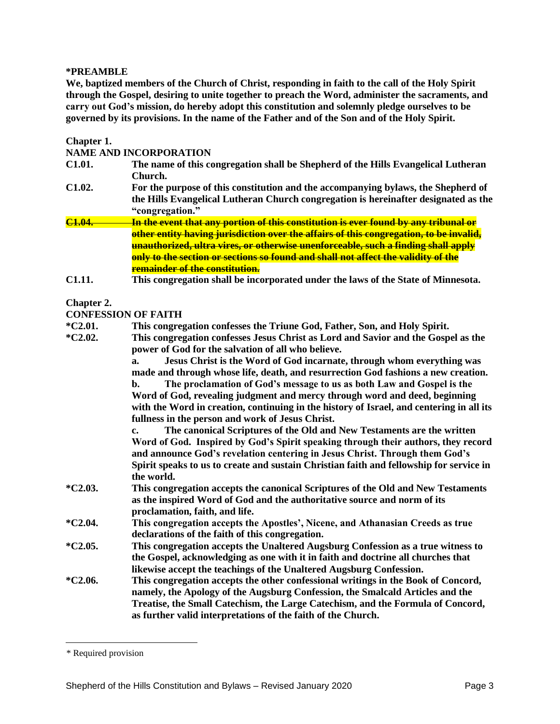## **\*PREAMBLE**\*

**We, baptized members of the Church of Christ, responding in faith to the call of the Holy Spirit through the Gospel, desiring to unite together to preach the Word, administer the sacraments, and carry out God's mission, do hereby adopt this constitution and solemnly pledge ourselves to be governed by its provisions. In the name of the Father and of the Son and of the Holy Spirit.**

| Chapter 1.         | <b>NAME AND INCORPORATION</b>                                                                                                                                                                                                                                                                                                                                                                                                                                                  |
|--------------------|--------------------------------------------------------------------------------------------------------------------------------------------------------------------------------------------------------------------------------------------------------------------------------------------------------------------------------------------------------------------------------------------------------------------------------------------------------------------------------|
| C1.01.             | The name of this congregation shall be Shepherd of the Hills Evangelical Lutheran<br>Church.                                                                                                                                                                                                                                                                                                                                                                                   |
| C1.02.             | For the purpose of this constitution and the accompanying bylaws, the Shepherd of<br>the Hills Evangelical Lutheran Church congregation is hereinafter designated as the<br>"congregation."                                                                                                                                                                                                                                                                                    |
| C <sub>1.04.</sub> | <mark>In the event that any portion of this constitution is ever found by any tribunal or</mark>                                                                                                                                                                                                                                                                                                                                                                               |
|                    | other entity having jurisdiction over the affairs of this congregation, to be invalid,<br>unauthorized, ultra vires, or otherwise unenforceable, such a finding shall apply<br>only to the section or sections so found and shall not affect the validity of the<br><b>remainder of the constitution.</b>                                                                                                                                                                      |
| C1.11.             | This congregation shall be incorporated under the laws of the State of Minnesota.                                                                                                                                                                                                                                                                                                                                                                                              |
| Chapter 2.         |                                                                                                                                                                                                                                                                                                                                                                                                                                                                                |
|                    | <b>CONFESSION OF FAITH</b>                                                                                                                                                                                                                                                                                                                                                                                                                                                     |
| *C2.01.            | This congregation confesses the Triune God, Father, Son, and Holy Spirit.                                                                                                                                                                                                                                                                                                                                                                                                      |
| *C2.02.            | This congregation confesses Jesus Christ as Lord and Savior and the Gospel as the<br>power of God for the salvation of all who believe.                                                                                                                                                                                                                                                                                                                                        |
|                    | Jesus Christ is the Word of God incarnate, through whom everything was<br>a.<br>made and through whose life, death, and resurrection God fashions a new creation.<br>The proclamation of God's message to us as both Law and Gospel is the<br>b.<br>Word of God, revealing judgment and mercy through word and deed, beginning<br>with the Word in creation, continuing in the history of Israel, and centering in all its<br>fullness in the person and work of Jesus Christ. |
|                    | The canonical Scriptures of the Old and New Testaments are the written<br>c.<br>Word of God. Inspired by God's Spirit speaking through their authors, they record<br>and announce God's revelation centering in Jesus Christ. Through them God's<br>Spirit speaks to us to create and sustain Christian faith and fellowship for service in<br>the world.                                                                                                                      |
| *C2.03.            | This congregation accepts the canonical Scriptures of the Old and New Testaments<br>as the inspired Word of God and the authoritative source and norm of its<br>proclamation, faith, and life.                                                                                                                                                                                                                                                                                 |
| $*C2.04.$          | This congregation accepts the Apostles', Nicene, and Athanasian Creeds as true<br>declarations of the faith of this congregation.                                                                                                                                                                                                                                                                                                                                              |
| *C2.05.            | This congregation accepts the Unaltered Augsburg Confession as a true witness to<br>the Gospel, acknowledging as one with it in faith and doctrine all churches that<br>likewise accept the teachings of the Unaltered Augsburg Confession.                                                                                                                                                                                                                                    |
| $*C2.06.$          | This congregation accepts the other confessional writings in the Book of Concord,<br>namely, the Apology of the Augsburg Confession, the Smalcald Articles and the<br>Treatise, the Small Catechism, the Large Catechism, and the Formula of Concord,<br>as further valid interpretations of the faith of the Church.                                                                                                                                                          |

<sup>\*</sup> Required provision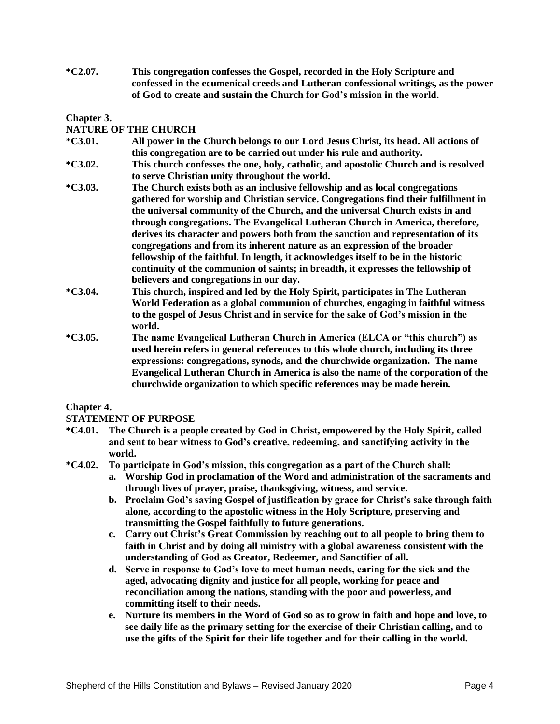**\*C2.07. This congregation confesses the Gospel, recorded in the Holy Scripture and confessed in the ecumenical creeds and Lutheran confessional writings, as the power of God to create and sustain the Church for God's mission in the world.**

## **Chapter 3.**

## **NATURE OF THE CHURCH**

- **\*C3.01. All power in the Church belongs to our Lord Jesus Christ, its head. All actions of this congregation are to be carried out under his rule and authority.**
- **\*C3.02. This church confesses the one, holy, catholic, and apostolic Church and is resolved to serve Christian unity throughout the world.**
- **\*C3.03. The Church exists both as an inclusive fellowship and as local congregations gathered for worship and Christian service. Congregations find their fulfillment in the universal community of the Church, and the universal Church exists in and through congregations. The Evangelical Lutheran Church in America, therefore, derives its character and powers both from the sanction and representation of its congregations and from its inherent nature as an expression of the broader fellowship of the faithful. In length, it acknowledges itself to be in the historic continuity of the communion of saints; in breadth, it expresses the fellowship of believers and congregations in our day.**
- **\*C3.04. This church, inspired and led by the Holy Spirit, participates in The Lutheran World Federation as a global communion of churches, engaging in faithful witness to the gospel of Jesus Christ and in service for the sake of God's mission in the world.**
- **\*C3.05. The name Evangelical Lutheran Church in America (ELCA or "this church") as used herein refers in general references to this whole church, including its three expressions: congregations, synods, and the churchwide organization. The name Evangelical Lutheran Church in America is also the name of the corporation of the churchwide organization to which specific references may be made herein.**

## **Chapter 4.**

## **STATEMENT OF PURPOSE**

- **\*C4.01. The Church is a people created by God in Christ, empowered by the Holy Spirit, called and sent to bear witness to God's creative, redeeming, and sanctifying activity in the world.**
- **\*C4.02. To participate in God's mission, this congregation as a part of the Church shall:**
	- **a. Worship God in proclamation of the Word and administration of the sacraments and through lives of prayer, praise, thanksgiving, witness, and service.**
	- **b. Proclaim God's saving Gospel of justification by grace for Christ's sake through faith alone, according to the apostolic witness in the Holy Scripture, preserving and transmitting the Gospel faithfully to future generations.**
	- **c. Carry out Christ's Great Commission by reaching out to all people to bring them to faith in Christ and by doing all ministry with a global awareness consistent with the understanding of God as Creator, Redeemer, and Sanctifier of all.**
	- **d. Serve in response to God's love to meet human needs, caring for the sick and the aged, advocating dignity and justice for all people, working for peace and reconciliation among the nations, standing with the poor and powerless, and committing itself to their needs.**
	- **e. Nurture its members in the Word of God so as to grow in faith and hope and love, to see daily life as the primary setting for the exercise of their Christian calling, and to use the gifts of the Spirit for their life together and for their calling in the world.**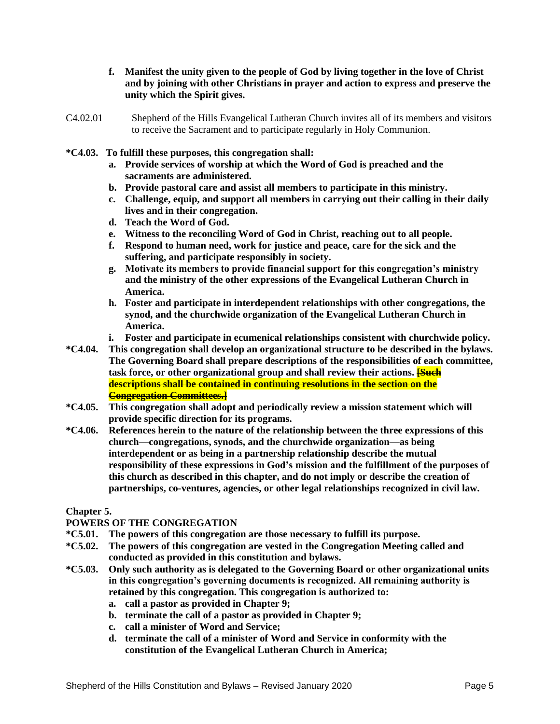- **f. Manifest the unity given to the people of God by living together in the love of Christ and by joining with other Christians in prayer and action to express and preserve the unity which the Spirit gives.**
- C4.02.01 Shepherd of the Hills Evangelical Lutheran Church invites all of its members and visitors to receive the Sacrament and to participate regularly in Holy Communion.
- **\*C4.03. To fulfill these purposes, this congregation shall:**
	- **a. Provide services of worship at which the Word of God is preached and the sacraments are administered.**
	- **b. Provide pastoral care and assist all members to participate in this ministry.**
	- **c. Challenge, equip, and support all members in carrying out their calling in their daily lives and in their congregation.**
	- **d. Teach the Word of God.**
	- **e. Witness to the reconciling Word of God in Christ, reaching out to all people.**
	- **f. Respond to human need, work for justice and peace, care for the sick and the suffering, and participate responsibly in society.**
	- **g. Motivate its members to provide financial support for this congregation's ministry and the ministry of the other expressions of the Evangelical Lutheran Church in America.**
	- **h. Foster and participate in interdependent relationships with other congregations, the synod, and the churchwide organization of the Evangelical Lutheran Church in America.**
	- **i. Foster and participate in ecumenical relationships consistent with churchwide policy.**
- **\*C4.04. This congregation shall develop an organizational structure to be described in the bylaws. The Governing Board shall prepare descriptions of the responsibilities of each committee, task force, or other organizational group and shall review their actions. [Such descriptions shall be contained in continuing resolutions in the section on the Congregation Committees.]**
- **\*C4.05. This congregation shall adopt and periodically review a mission statement which will provide specific direction for its programs.**
- **\*C4.06. References herein to the nature of the relationship between the three expressions of this church—congregations, synods, and the churchwide organization—as being interdependent or as being in a partnership relationship describe the mutual responsibility of these expressions in God's mission and the fulfillment of the purposes of this church as described in this chapter, and do not imply or describe the creation of partnerships, co-ventures, agencies, or other legal relationships recognized in civil law.**

## **Chapter 5.**

## **POWERS OF THE CONGREGATION**

- **\*C5.01. The powers of this congregation are those necessary to fulfill its purpose.**
- **\*C5.02. The powers of this congregation are vested in the Congregation Meeting called and conducted as provided in this constitution and bylaws.**
- **\*C5.03. Only such authority as is delegated to the Governing Board or other organizational units in this congregation's governing documents is recognized. All remaining authority is retained by this congregation. This congregation is authorized to:**
	- **a. call a pastor as provided in Chapter 9;**
	- **b. terminate the call of a pastor as provided in Chapter 9;**
	- **c. call a minister of Word and Service;**
	- **d. terminate the call of a minister of Word and Service in conformity with the constitution of the Evangelical Lutheran Church in America;**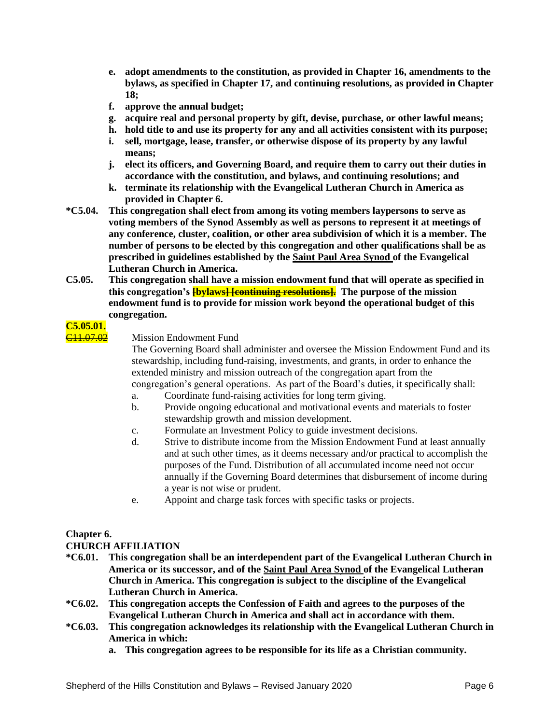- **e. adopt amendments to the constitution, as provided in Chapter 16, amendments to the bylaws, as specified in Chapter 17, and continuing resolutions, as provided in Chapter 18;**
- **f. approve the annual budget;**
- **g. acquire real and personal property by gift, devise, purchase, or other lawful means;**
- **h. hold title to and use its property for any and all activities consistent with its purpose;**
- **i. sell, mortgage, lease, transfer, or otherwise dispose of its property by any lawful means;**
- **j. elect its officers, and Governing Board, and require them to carry out their duties in accordance with the constitution, and bylaws, and continuing resolutions; and**
- **k. terminate its relationship with the Evangelical Lutheran Church in America as provided in Chapter 6.**
- **\*C5.04. This congregation shall elect from among its voting members laypersons to serve as voting members of the Synod Assembly as well as persons to represent it at meetings of any conference, cluster, coalition, or other area subdivision of which it is a member. The number of persons to be elected by this congregation and other qualifications shall be as prescribed in guidelines established by the Saint Paul Area Synod of the Evangelical Lutheran Church in America.**
- **C5.05. This congregation shall have a mission endowment fund that will operate as specified in**  this congregation's **[bylaws<del>] [continuing resolutions].</del>** The purpose of the mission **endowment fund is to provide for mission work beyond the operational budget of this congregation.**

# **C5.05.01.**

C11.07.02 Mission Endowment Fund

The Governing Board shall administer and oversee the Mission Endowment Fund and its stewardship, including fund-raising, investments, and grants, in order to enhance the extended ministry and mission outreach of the congregation apart from the congregation's general operations. As part of the Board's duties, it specifically shall:

- a. Coordinate fund-raising activities for long term giving.
- b. Provide ongoing educational and motivational events and materials to foster stewardship growth and mission development.
- c. Formulate an Investment Policy to guide investment decisions.
- d. Strive to distribute income from the Mission Endowment Fund at least annually and at such other times, as it deems necessary and/or practical to accomplish the purposes of the Fund. Distribution of all accumulated income need not occur annually if the Governing Board determines that disbursement of income during a year is not wise or prudent.
- e. Appoint and charge task forces with specific tasks or projects.

# **Chapter 6.**

## **CHURCH AFFILIATION**

- **\*C6.01. This congregation shall be an interdependent part of the Evangelical Lutheran Church in America or its successor, and of the Saint Paul Area Synod of the Evangelical Lutheran Church in America. This congregation is subject to the discipline of the Evangelical Lutheran Church in America.**
- **\*C6.02. This congregation accepts the Confession of Faith and agrees to the purposes of the Evangelical Lutheran Church in America and shall act in accordance with them.**
- **\*C6.03. This congregation acknowledges its relationship with the Evangelical Lutheran Church in America in which:**
	- **a. This congregation agrees to be responsible for its life as a Christian community.**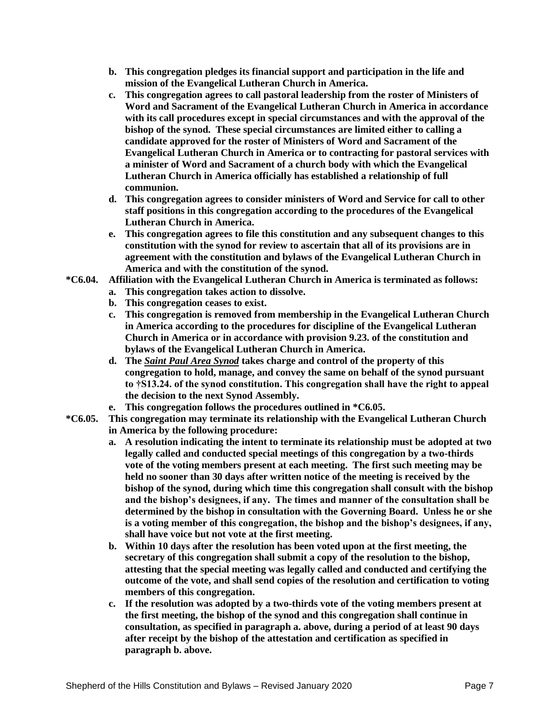- **b. This congregation pledges its financial support and participation in the life and mission of the Evangelical Lutheran Church in America.**
- **c. This congregation agrees to call pastoral leadership from the roster of Ministers of Word and Sacrament of the Evangelical Lutheran Church in America in accordance with its call procedures except in special circumstances and with the approval of the bishop of the synod. These special circumstances are limited either to calling a candidate approved for the roster of Ministers of Word and Sacrament of the Evangelical Lutheran Church in America or to contracting for pastoral services with a minister of Word and Sacrament of a church body with which the Evangelical Lutheran Church in America officially has established a relationship of full communion.**
- **d. This congregation agrees to consider ministers of Word and Service for call to other staff positions in this congregation according to the procedures of the Evangelical Lutheran Church in America.**
- **e. This congregation agrees to file this constitution and any subsequent changes to this constitution with the synod for review to ascertain that all of its provisions are in agreement with the constitution and bylaws of the Evangelical Lutheran Church in America and with the constitution of the synod.**
- **\*C6.04. Affiliation with the Evangelical Lutheran Church in America is terminated as follows:**
	- **a. This congregation takes action to dissolve.**
	- **b. This congregation ceases to exist.**
	- **c. This congregation is removed from membership in the Evangelical Lutheran Church in America according to the procedures for discipline of the Evangelical Lutheran Church in America or in accordance with provision 9.23. of the constitution and bylaws of the Evangelical Lutheran Church in America.**
	- **d. The** *Saint Paul Area Synod* **takes charge and control of the property of this congregation to hold, manage, and convey the same on behalf of the synod pursuant to †S13.24. of the synod constitution. This congregation shall have the right to appeal the decision to the next Synod Assembly.**
	- **e. This congregation follows the procedures outlined in \*C6.05.**
- **\*C6.05. This congregation may terminate its relationship with the Evangelical Lutheran Church in America by the following procedure:**
	- **a. A resolution indicating the intent to terminate its relationship must be adopted at two legally called and conducted special meetings of this congregation by a two-thirds vote of the voting members present at each meeting. The first such meeting may be held no sooner than 30 days after written notice of the meeting is received by the bishop of the synod, during which time this congregation shall consult with the bishop and the bishop's designees, if any. The times and manner of the consultation shall be determined by the bishop in consultation with the Governing Board. Unless he or she is a voting member of this congregation, the bishop and the bishop's designees, if any, shall have voice but not vote at the first meeting.**
	- **b. Within 10 days after the resolution has been voted upon at the first meeting, the secretary of this congregation shall submit a copy of the resolution to the bishop, attesting that the special meeting was legally called and conducted and certifying the outcome of the vote, and shall send copies of the resolution and certification to voting members of this congregation.**
	- **c. If the resolution was adopted by a two-thirds vote of the voting members present at the first meeting, the bishop of the synod and this congregation shall continue in consultation, as specified in paragraph a. above, during a period of at least 90 days after receipt by the bishop of the attestation and certification as specified in paragraph b. above.**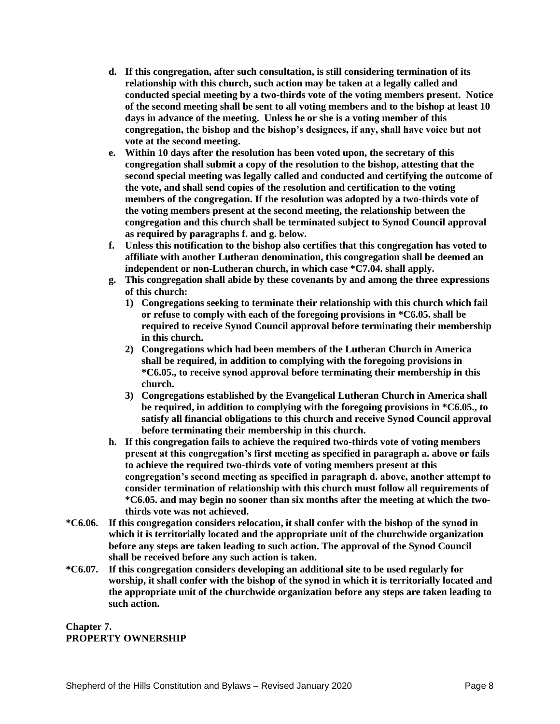- **d. If this congregation, after such consultation, is still considering termination of its relationship with this church, such action may be taken at a legally called and conducted special meeting by a two-thirds vote of the voting members present. Notice of the second meeting shall be sent to all voting members and to the bishop at least 10 days in advance of the meeting. Unless he or she is a voting member of this congregation, the bishop and the bishop's designees, if any, shall have voice but not vote at the second meeting.**
- **e. Within 10 days after the resolution has been voted upon, the secretary of this congregation shall submit a copy of the resolution to the bishop, attesting that the second special meeting was legally called and conducted and certifying the outcome of the vote, and shall send copies of the resolution and certification to the voting members of the congregation. If the resolution was adopted by a two-thirds vote of the voting members present at the second meeting, the relationship between the congregation and this church shall be terminated subject to Synod Council approval as required by paragraphs f. and g. below.**
- **f. Unless this notification to the bishop also certifies that this congregation has voted to affiliate with another Lutheran denomination, this congregation shall be deemed an independent or non-Lutheran church, in which case \*C7.04. shall apply.**
- **g. This congregation shall abide by these covenants by and among the three expressions of this church:**
	- **1) Congregations seeking to terminate their relationship with this church which fail or refuse to comply with each of the foregoing provisions in \*C6.05. shall be required to receive Synod Council approval before terminating their membership in this church.**
	- **2) Congregations which had been members of the Lutheran Church in America shall be required, in addition to complying with the foregoing provisions in \*C6.05., to receive synod approval before terminating their membership in this church.**
	- **3) Congregations established by the Evangelical Lutheran Church in America shall be required, in addition to complying with the foregoing provisions in \*C6.05., to satisfy all financial obligations to this church and receive Synod Council approval before terminating their membership in this church.**
- **h. If this congregation fails to achieve the required two-thirds vote of voting members present at this congregation's first meeting as specified in paragraph a. above or fails to achieve the required two-thirds vote of voting members present at this congregation's second meeting as specified in paragraph d. above, another attempt to consider termination of relationship with this church must follow all requirements of \*C6.05. and may begin no sooner than six months after the meeting at which the twothirds vote was not achieved.**
- **\*C6.06. If this congregation considers relocation, it shall confer with the bishop of the synod in which it is territorially located and the appropriate unit of the churchwide organization before any steps are taken leading to such action. The approval of the Synod Council shall be received before any such action is taken.**
- **\*C6.07. If this congregation considers developing an additional site to be used regularly for worship, it shall confer with the bishop of the synod in which it is territorially located and the appropriate unit of the churchwide organization before any steps are taken leading to such action.**

**Chapter 7. PROPERTY OWNERSHIP**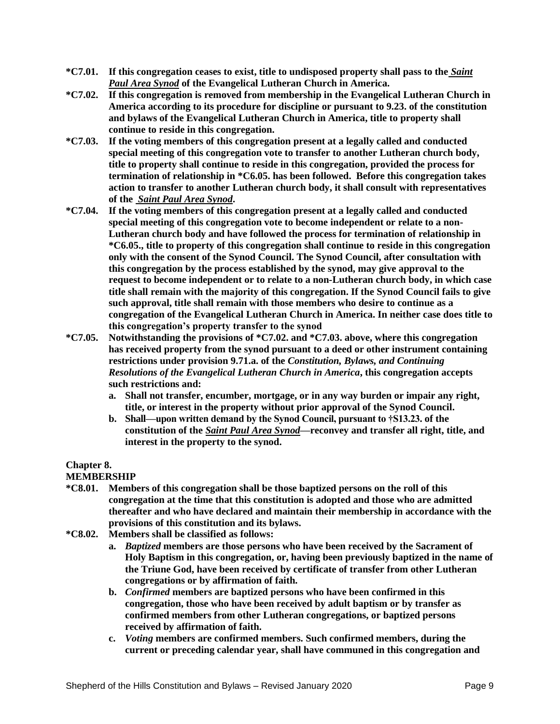- **\*C7.01. If this congregation ceases to exist, title to undisposed property shall pass to the** *Saint Paul Area Synod* **of the Evangelical Lutheran Church in America.**
- **\*C7.02. If this congregation is removed from membership in the Evangelical Lutheran Church in America according to its procedure for discipline or pursuant to 9.23. of the constitution and bylaws of the Evangelical Lutheran Church in America, title to property shall continue to reside in this congregation.**
- **\*C7.03. If the voting members of this congregation present at a legally called and conducted special meeting of this congregation vote to transfer to another Lutheran church body, title to property shall continue to reside in this congregation, provided the process for termination of relationship in \*C6.05. has been followed. Before this congregation takes action to transfer to another Lutheran church body, it shall consult with representatives of the** *Saint Paul Area Synod***.**
- **\*C7.04. If the voting members of this congregation present at a legally called and conducted special meeting of this congregation vote to become independent or relate to a non-Lutheran church body and have followed the process for termination of relationship in \*C6.05., title to property of this congregation shall continue to reside in this congregation only with the consent of the Synod Council. The Synod Council, after consultation with this congregation by the process established by the synod, may give approval to the request to become independent or to relate to a non-Lutheran church body, in which case title shall remain with the majority of this congregation. If the Synod Council fails to give such approval, title shall remain with those members who desire to continue as a congregation of the Evangelical Lutheran Church in America. In neither case does title to this congregation's property transfer to the synod**
- **\*C7.05. Notwithstanding the provisions of \*C7.02. and \*C7.03. above, where this congregation has received property from the synod pursuant to a deed or other instrument containing restrictions under provision 9.71.a. of the** *Constitution, Bylaws, and Continuing Resolutions of the Evangelical Lutheran Church in America***, this congregation accepts such restrictions and:**
	- **a. Shall not transfer, encumber, mortgage, or in any way burden or impair any right, title, or interest in the property without prior approval of the Synod Council.**
	- **b. Shall—upon written demand by the Synod Council, pursuant to †S13.23. of the constitution of the** *Saint Paul Area Synod***—reconvey and transfer all right, title, and interest in the property to the synod.**

# **Chapter 8.**

# **MEMBERSHIP**

- **\*C8.01. Members of this congregation shall be those baptized persons on the roll of this congregation at the time that this constitution is adopted and those who are admitted thereafter and who have declared and maintain their membership in accordance with the provisions of this constitution and its bylaws.**
- **\*C8.02. Members shall be classified as follows:**
	- **a.** *Baptized* **members are those persons who have been received by the Sacrament of Holy Baptism in this congregation, or, having been previously baptized in the name of the Triune God, have been received by certificate of transfer from other Lutheran congregations or by affirmation of faith.**
	- **b.** *Confirmed* **members are baptized persons who have been confirmed in this congregation, those who have been received by adult baptism or by transfer as confirmed members from other Lutheran congregations, or baptized persons received by affirmation of faith.**
	- **c.** *Voting* **members are confirmed members. Such confirmed members, during the current or preceding calendar year, shall have communed in this congregation and**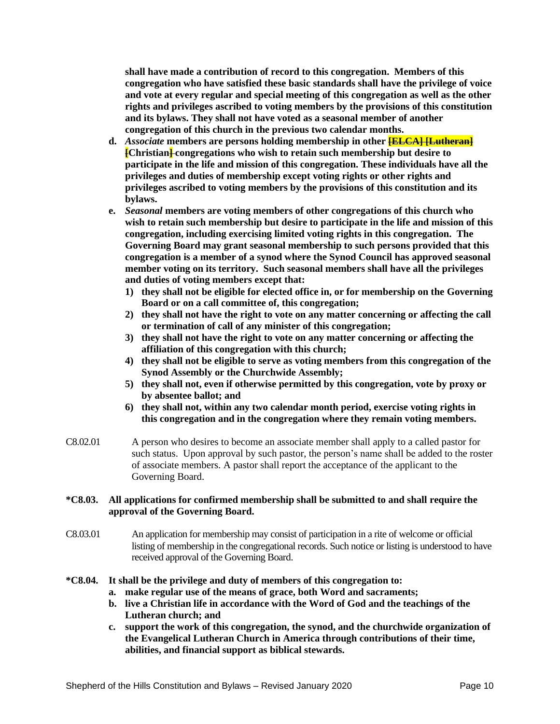**shall have made a contribution of record to this congregation. Members of this congregation who have satisfied these basic standards shall have the privilege of voice and vote at every regular and special meeting of this congregation as well as the other rights and privileges ascribed to voting members by the provisions of this constitution and its bylaws. They shall not have voted as a seasonal member of another congregation of this church in the previous two calendar months.**

- **d.** *Associate* members are persons holding membership in other **[ELCA] [Lutheran] [Christian] congregations who wish to retain such membership but desire to participate in the life and mission of this congregation. These individuals have all the privileges and duties of membership except voting rights or other rights and privileges ascribed to voting members by the provisions of this constitution and its bylaws.**
- **e.** *Seasonal* **members are voting members of other congregations of this church who wish to retain such membership but desire to participate in the life and mission of this congregation, including exercising limited voting rights in this congregation. The Governing Board may grant seasonal membership to such persons provided that this congregation is a member of a synod where the Synod Council has approved seasonal member voting on its territory. Such seasonal members shall have all the privileges and duties of voting members except that:**
	- **1) they shall not be eligible for elected office in, or for membership on the Governing Board or on a call committee of, this congregation;**
	- **2) they shall not have the right to vote on any matter concerning or affecting the call or termination of call of any minister of this congregation;**
	- **3) they shall not have the right to vote on any matter concerning or affecting the affiliation of this congregation with this church;**
	- **4) they shall not be eligible to serve as voting members from this congregation of the Synod Assembly or the Churchwide Assembly;**
	- **5) they shall not, even if otherwise permitted by this congregation, vote by proxy or by absentee ballot; and**
	- **6) they shall not, within any two calendar month period, exercise voting rights in this congregation and in the congregation where they remain voting members.**
- C8.02.01 A person who desires to become an associate member shall apply to a called pastor for such status. Upon approval by such pastor, the person's name shall be added to the roster of associate members. A pastor shall report the acceptance of the applicant to the Governing Board.

## **\*C8.03. All applications for confirmed membership shall be submitted to and shall require the approval of the Governing Board.**

- C8.03.01 An application for membership may consist of participation in a rite of welcome or official listing of membership in the congregational records. Such notice or listing is understood to have received approval of the Governing Board.
- **\*C8.04. It shall be the privilege and duty of members of this congregation to:**
	- **a. make regular use of the means of grace, both Word and sacraments;**
	- **b. live a Christian life in accordance with the Word of God and the teachings of the Lutheran church; and**
	- **c. support the work of this congregation, the synod, and the churchwide organization of the Evangelical Lutheran Church in America through contributions of their time, abilities, and financial support as biblical stewards.**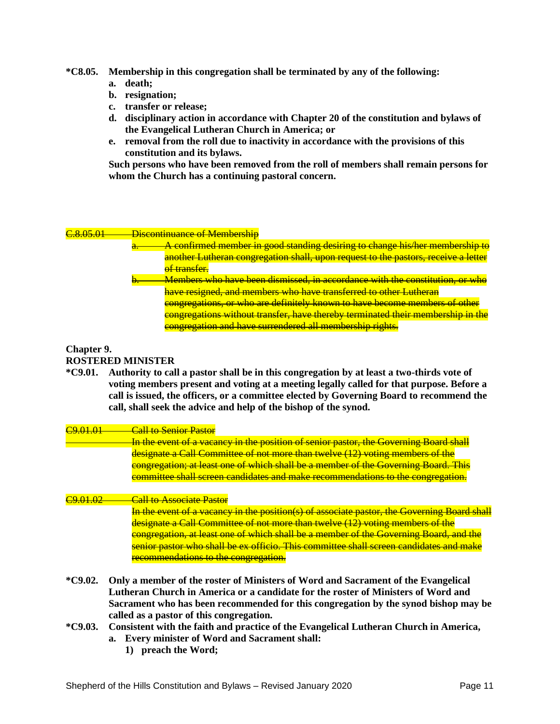### **\*C8.05. Membership in this congregation shall be terminated by any of the following:**

- **a. death;**
- **b. resignation;**
- **c. transfer or release;**
- **d. disciplinary action in accordance with Chapter 20 of the constitution and bylaws of the Evangelical Lutheran Church in America; or**
- **e. removal from the roll due to inactivity in accordance with the provisions of this constitution and its bylaws.**

**Such persons who have been removed from the roll of members shall remain persons for whom the Church has a continuing pastoral concern.**

#### C.8.05.01 Discontinuance of Membership

A confirmed member in good standing desiring to change his/her membership to another Lutheran congregation shall, upon request to the pastors, receive a letter of transfer. Members who have been dismissed, in accordance with the constitution, or who have resigned, and members who have transferred to other Lutheran congregations, or who are definitely known to have become members of other congregations without transfer, have thereby terminated their membership in the

# **Chapter 9.**

#### **ROSTERED MINISTER**

**\*C9.01. Authority to call a pastor shall be in this congregation by at least a two-thirds vote of voting members present and voting at a meeting legally called for that purpose. Before a call is issued, the officers, or a committee elected by Governing Board to recommend the call, shall seek the advice and help of the bishop of the synod.**

congregation and have surrendered all membership rights.

# C9.01.01 Call to Senior Pastor In the event of a vacancy in the position of senior pastor, the Governing Board shall designate a Call Committee of not more than twelve (12) voting members of the congregation; at least one of which shall be a member of the Governing Board. This committee shall screen candidates and make recommendations to the congregation. C9.01.02 Call to Associate Pastor In the event of a vacancy in the position(s) of associate pastor, the Governing Board shall designate a Call Committee of not more than twelve (12) voting members of the congregation, at least one of which shall be a member of the Governing Board, and the senior pastor who shall be ex officio. This committee shall screen candidates and make

recommendations to the congregation.

- **\*C9.02. Only a member of the roster of Ministers of Word and Sacrament of the Evangelical Lutheran Church in America or a candidate for the roster of Ministers of Word and Sacrament who has been recommended for this congregation by the synod bishop may be called as a pastor of this congregation.**
- **\*C9.03. Consistent with the faith and practice of the Evangelical Lutheran Church in America, a. Every minister of Word and Sacrament shall:**
	- **1) preach the Word;**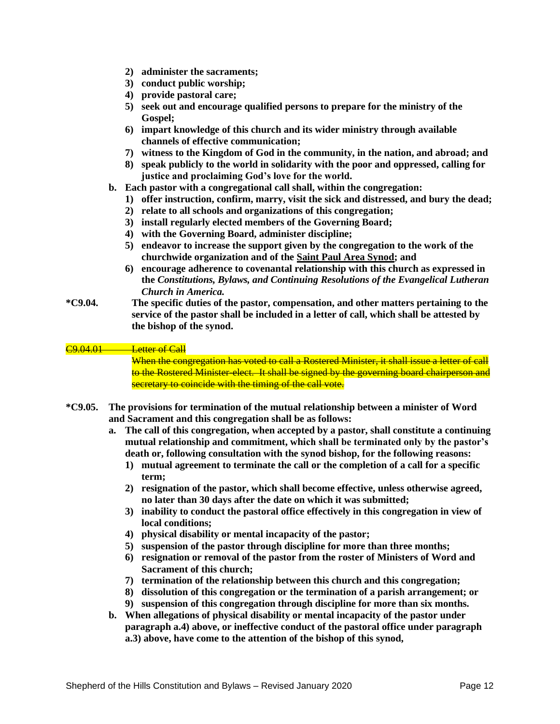- **2) administer the sacraments;**
- **3) conduct public worship;**
- **4) provide pastoral care;**
- **5) seek out and encourage qualified persons to prepare for the ministry of the Gospel;**
- **6) impart knowledge of this church and its wider ministry through available channels of effective communication;**
- **7) witness to the Kingdom of God in the community, in the nation, and abroad; and**
- **8) speak publicly to the world in solidarity with the poor and oppressed, calling for justice and proclaiming God's love for the world.**
- **b. Each pastor with a congregational call shall, within the congregation:**
	- **1) offer instruction, confirm, marry, visit the sick and distressed, and bury the dead;**
	- **2) relate to all schools and organizations of this congregation;**
	- **3) install regularly elected members of the Governing Board;**
	- **4) with the Governing Board, administer discipline;**
	- **5) endeavor to increase the support given by the congregation to the work of the churchwide organization and of the Saint Paul Area Synod; and**
	- **6) encourage adherence to covenantal relationship with this church as expressed in the** *Constitutions, Bylaws, and Continuing Resolutions of the Evangelical Lutheran Church in America.*
- **\*C9.04. The specific duties of the pastor, compensation, and other matters pertaining to the service of the pastor shall be included in a letter of call, which shall be attested by the bishop of the synod.**

## C9.04.01 Letter of Call

When the congregation has voted to call a Rostered Minister, it shall issue a letter of call to the Rostered Minister-elect. It shall be signed by the governing board chairperson and secretary to coincide with the timing of the call vote.

- **\*C9.05. The provisions for termination of the mutual relationship between a minister of Word and Sacrament and this congregation shall be as follows:**
	- **a. The call of this congregation, when accepted by a pastor, shall constitute a continuing mutual relationship and commitment, which shall be terminated only by the pastor's death or, following consultation with the synod bishop, for the following reasons:**
		- **1) mutual agreement to terminate the call or the completion of a call for a specific term;**
		- **2) resignation of the pastor, which shall become effective, unless otherwise agreed, no later than 30 days after the date on which it was submitted;**
		- **3) inability to conduct the pastoral office effectively in this congregation in view of local conditions;**
		- **4) physical disability or mental incapacity of the pastor;**
		- **5) suspension of the pastor through discipline for more than three months;**
		- **6) resignation or removal of the pastor from the roster of Ministers of Word and Sacrament of this church;**
		- **7) termination of the relationship between this church and this congregation;**
		- **8) dissolution of this congregation or the termination of a parish arrangement; or**
		- **9) suspension of this congregation through discipline for more than six months.**
	- **b. When allegations of physical disability or mental incapacity of the pastor under paragraph a.4) above, or ineffective conduct of the pastoral office under paragraph a.3) above, have come to the attention of the bishop of this synod,**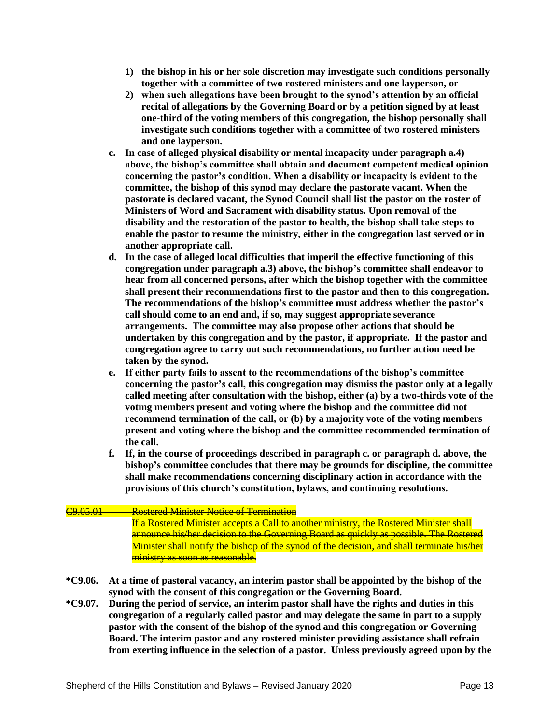- **1) the bishop in his or her sole discretion may investigate such conditions personally together with a committee of two rostered ministers and one layperson, or**
- **2) when such allegations have been brought to the synod's attention by an official recital of allegations by the Governing Board or by a petition signed by at least one-third of the voting members of this congregation, the bishop personally shall investigate such conditions together with a committee of two rostered ministers and one layperson.**
- **c. In case of alleged physical disability or mental incapacity under paragraph a.4) above, the bishop's committee shall obtain and document competent medical opinion concerning the pastor's condition. When a disability or incapacity is evident to the committee, the bishop of this synod may declare the pastorate vacant. When the pastorate is declared vacant, the Synod Council shall list the pastor on the roster of Ministers of Word and Sacrament with disability status. Upon removal of the disability and the restoration of the pastor to health, the bishop shall take steps to enable the pastor to resume the ministry, either in the congregation last served or in another appropriate call.**
- **d. In the case of alleged local difficulties that imperil the effective functioning of this congregation under paragraph a.3) above, the bishop's committee shall endeavor to hear from all concerned persons, after which the bishop together with the committee shall present their recommendations first to the pastor and then to this congregation. The recommendations of the bishop's committee must address whether the pastor's call should come to an end and, if so, may suggest appropriate severance arrangements. The committee may also propose other actions that should be undertaken by this congregation and by the pastor, if appropriate. If the pastor and congregation agree to carry out such recommendations, no further action need be taken by the synod.**
- **e. If either party fails to assent to the recommendations of the bishop's committee concerning the pastor's call, this congregation may dismiss the pastor only at a legally called meeting after consultation with the bishop, either (a) by a two-thirds vote of the voting members present and voting where the bishop and the committee did not recommend termination of the call, or (b) by a majority vote of the voting members present and voting where the bishop and the committee recommended termination of the call.**
- **f. If, in the course of proceedings described in paragraph c. or paragraph d. above, the bishop's committee concludes that there may be grounds for discipline, the committee shall make recommendations concerning disciplinary action in accordance with the provisions of this church's constitution, bylaws, and continuing resolutions.**

# C9.05.01 Rostered Minister Notice of Termination

If a Rostered Minister accepts a Call to another ministry, the Rostered Minister shall announce his/her decision to the Governing Board as quickly as possible. The Rostered Minister shall notify the bishop of the synod of the decision, and shall terminate his/her ministry as soon as reasonable.

- **\*C9.06. At a time of pastoral vacancy, an interim pastor shall be appointed by the bishop of the synod with the consent of this congregation or the Governing Board.**
- **\*C9.07. During the period of service, an interim pastor shall have the rights and duties in this congregation of a regularly called pastor and may delegate the same in part to a supply pastor with the consent of the bishop of the synod and this congregation or Governing Board. The interim pastor and any rostered minister providing assistance shall refrain from exerting influence in the selection of a pastor. Unless previously agreed upon by the**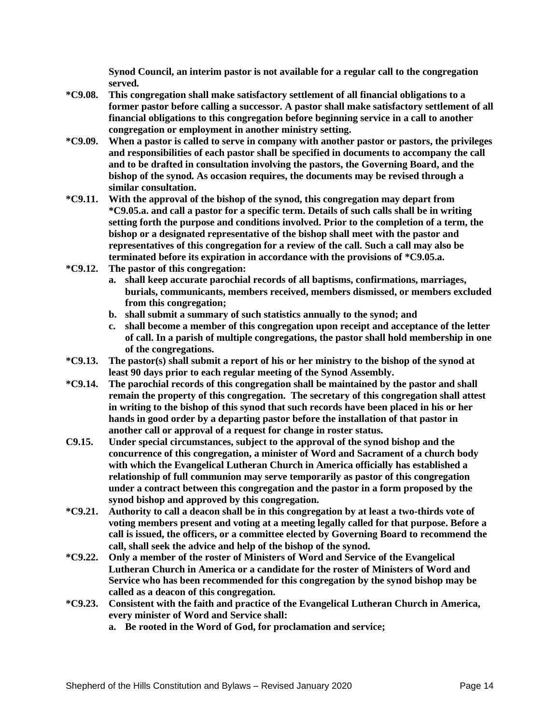**Synod Council, an interim pastor is not available for a regular call to the congregation served.**

- **\*C9.08. This congregation shall make satisfactory settlement of all financial obligations to a former pastor before calling a successor. A pastor shall make satisfactory settlement of all financial obligations to this congregation before beginning service in a call to another congregation or employment in another ministry setting.**
- **\*C9.09. When a pastor is called to serve in company with another pastor or pastors, the privileges and responsibilities of each pastor shall be specified in documents to accompany the call and to be drafted in consultation involving the pastors, the Governing Board, and the bishop of the synod. As occasion requires, the documents may be revised through a similar consultation.**
- **\*C9.11. With the approval of the bishop of the synod, this congregation may depart from \*C9.05.a. and call a pastor for a specific term. Details of such calls shall be in writing setting forth the purpose and conditions involved. Prior to the completion of a term, the bishop or a designated representative of the bishop shall meet with the pastor and representatives of this congregation for a review of the call. Such a call may also be terminated before its expiration in accordance with the provisions of \*C9.05.a.**
- **\*C9.12. The pastor of this congregation:**
	- **a. shall keep accurate parochial records of all baptisms, confirmations, marriages, burials, communicants, members received, members dismissed, or members excluded from this congregation;**
	- **b. shall submit a summary of such statistics annually to the synod; and**
	- **c. shall become a member of this congregation upon receipt and acceptance of the letter of call. In a parish of multiple congregations, the pastor shall hold membership in one of the congregations.**
- **\*C9.13. The pastor(s) shall submit a report of his or her ministry to the bishop of the synod at least 90 days prior to each regular meeting of the Synod Assembly.**
- **\*C9.14. The parochial records of this congregation shall be maintained by the pastor and shall remain the property of this congregation. The secretary of this congregation shall attest in writing to the bishop of this synod that such records have been placed in his or her hands in good order by a departing pastor before the installation of that pastor in another call or approval of a request for change in roster status.**
- **C9.15. Under special circumstances, subject to the approval of the synod bishop and the concurrence of this congregation, a minister of Word and Sacrament of a church body with which the Evangelical Lutheran Church in America officially has established a relationship of full communion may serve temporarily as pastor of this congregation under a contract between this congregation and the pastor in a form proposed by the synod bishop and approved by this congregation.**
- **\*C9.21. Authority to call a deacon shall be in this congregation by at least a two-thirds vote of voting members present and voting at a meeting legally called for that purpose. Before a call is issued, the officers, or a committee elected by Governing Board to recommend the call, shall seek the advice and help of the bishop of the synod.**
- **\*C9.22. Only a member of the roster of Ministers of Word and Service of the Evangelical Lutheran Church in America or a candidate for the roster of Ministers of Word and Service who has been recommended for this congregation by the synod bishop may be called as a deacon of this congregation.**
- **\*C9.23. Consistent with the faith and practice of the Evangelical Lutheran Church in America, every minister of Word and Service shall:**
	- **a. Be rooted in the Word of God, for proclamation and service;**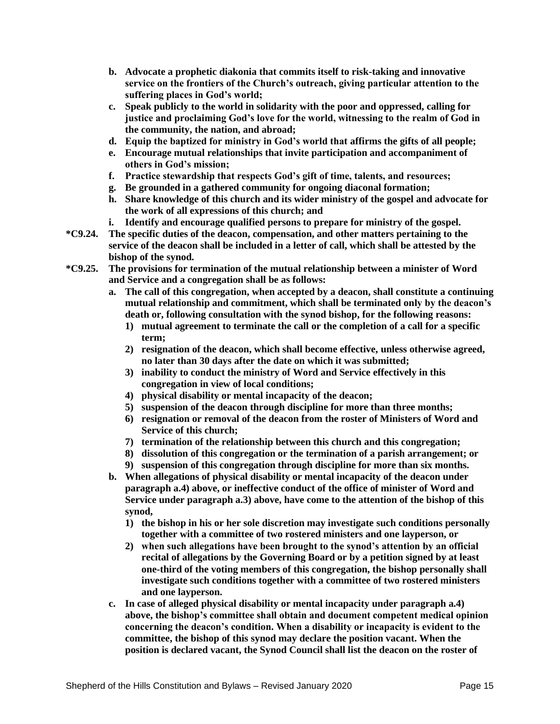- **b. Advocate a prophetic diakonia that commits itself to risk-taking and innovative service on the frontiers of the Church's outreach, giving particular attention to the suffering places in God's world;**
- **c. Speak publicly to the world in solidarity with the poor and oppressed, calling for justice and proclaiming God's love for the world, witnessing to the realm of God in the community, the nation, and abroad;**
- **d. Equip the baptized for ministry in God's world that affirms the gifts of all people;**
- **e. Encourage mutual relationships that invite participation and accompaniment of others in God's mission;**
- **f. Practice stewardship that respects God's gift of time, talents, and resources;**
- **g. Be grounded in a gathered community for ongoing diaconal formation;**
- **h. Share knowledge of this church and its wider ministry of the gospel and advocate for the work of all expressions of this church; and**
- **i. Identify and encourage qualified persons to prepare for ministry of the gospel.**
- **\*C9.24. The specific duties of the deacon, compensation, and other matters pertaining to the service of the deacon shall be included in a letter of call, which shall be attested by the bishop of the synod.**
- **\*C9.25. The provisions for termination of the mutual relationship between a minister of Word and Service and a congregation shall be as follows:**
	- **a. The call of this congregation, when accepted by a deacon, shall constitute a continuing mutual relationship and commitment, which shall be terminated only by the deacon's death or, following consultation with the synod bishop, for the following reasons:**
		- **1) mutual agreement to terminate the call or the completion of a call for a specific term;**
		- **2) resignation of the deacon, which shall become effective, unless otherwise agreed, no later than 30 days after the date on which it was submitted;**
		- **3) inability to conduct the ministry of Word and Service effectively in this congregation in view of local conditions;**
		- **4) physical disability or mental incapacity of the deacon;**
		- **5) suspension of the deacon through discipline for more than three months;**
		- **6) resignation or removal of the deacon from the roster of Ministers of Word and Service of this church;**
		- **7) termination of the relationship between this church and this congregation;**
		- **8) dissolution of this congregation or the termination of a parish arrangement; or**
		- **9) suspension of this congregation through discipline for more than six months.**
	- **b. When allegations of physical disability or mental incapacity of the deacon under paragraph a.4) above, or ineffective conduct of the office of minister of Word and Service under paragraph a.3) above, have come to the attention of the bishop of this synod,**
		- **1) the bishop in his or her sole discretion may investigate such conditions personally together with a committee of two rostered ministers and one layperson, or**
		- **2) when such allegations have been brought to the synod's attention by an official recital of allegations by the Governing Board or by a petition signed by at least one-third of the voting members of this congregation, the bishop personally shall investigate such conditions together with a committee of two rostered ministers and one layperson.**
	- **c. In case of alleged physical disability or mental incapacity under paragraph a.4) above, the bishop's committee shall obtain and document competent medical opinion concerning the deacon's condition. When a disability or incapacity is evident to the committee, the bishop of this synod may declare the position vacant. When the position is declared vacant, the Synod Council shall list the deacon on the roster of**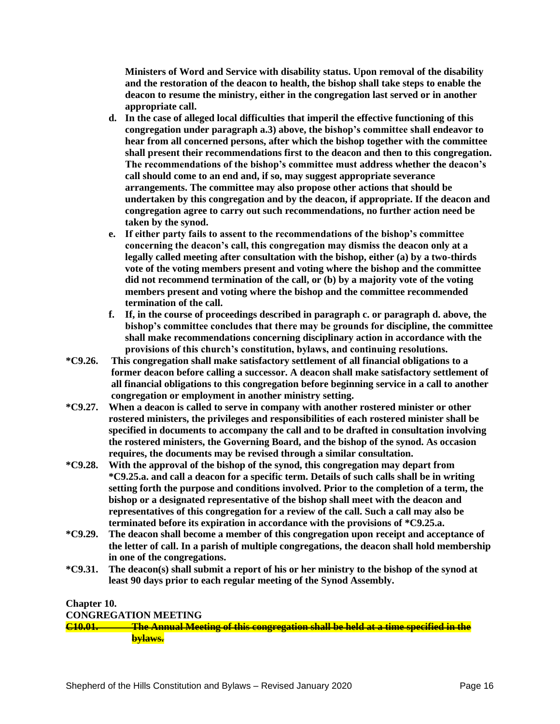**Ministers of Word and Service with disability status. Upon removal of the disability and the restoration of the deacon to health, the bishop shall take steps to enable the deacon to resume the ministry, either in the congregation last served or in another appropriate call.**

- **d. In the case of alleged local difficulties that imperil the effective functioning of this congregation under paragraph a.3) above, the bishop's committee shall endeavor to hear from all concerned persons, after which the bishop together with the committee shall present their recommendations first to the deacon and then to this congregation. The recommendations of the bishop's committee must address whether the deacon's call should come to an end and, if so, may suggest appropriate severance arrangements. The committee may also propose other actions that should be undertaken by this congregation and by the deacon, if appropriate. If the deacon and congregation agree to carry out such recommendations, no further action need be taken by the synod.**
- **e. If either party fails to assent to the recommendations of the bishop's committee concerning the deacon's call, this congregation may dismiss the deacon only at a legally called meeting after consultation with the bishop, either (a) by a two-thirds vote of the voting members present and voting where the bishop and the committee did not recommend termination of the call, or (b) by a majority vote of the voting members present and voting where the bishop and the committee recommended termination of the call.**
- **f. If, in the course of proceedings described in paragraph c. or paragraph d. above, the bishop's committee concludes that there may be grounds for discipline, the committee shall make recommendations concerning disciplinary action in accordance with the provisions of this church's constitution, bylaws, and continuing resolutions.**
- **\*C9.26. This congregation shall make satisfactory settlement of all financial obligations to a former deacon before calling a successor. A deacon shall make satisfactory settlement of all financial obligations to this congregation before beginning service in a call to another congregation or employment in another ministry setting.**
- **\*C9.27. When a deacon is called to serve in company with another rostered minister or other rostered ministers, the privileges and responsibilities of each rostered minister shall be specified in documents to accompany the call and to be drafted in consultation involving the rostered ministers, the Governing Board, and the bishop of the synod. As occasion requires, the documents may be revised through a similar consultation.**
- **\*C9.28. With the approval of the bishop of the synod, this congregation may depart from \*C9.25.a. and call a deacon for a specific term. Details of such calls shall be in writing setting forth the purpose and conditions involved. Prior to the completion of a term, the bishop or a designated representative of the bishop shall meet with the deacon and representatives of this congregation for a review of the call. Such a call may also be terminated before its expiration in accordance with the provisions of \*C9.25.a.**
- **\*C9.29. The deacon shall become a member of this congregation upon receipt and acceptance of the letter of call. In a parish of multiple congregations, the deacon shall hold membership in one of the congregations.**
- **\*C9.31. The deacon(s) shall submit a report of his or her ministry to the bishop of the synod at least 90 days prior to each regular meeting of the Synod Assembly.**

## **Chapter 10.**

### **CONGREGATION MEETING**

**C10.01. The Annual Meeting of this congregation shall be held at a time specified in the bylaws.**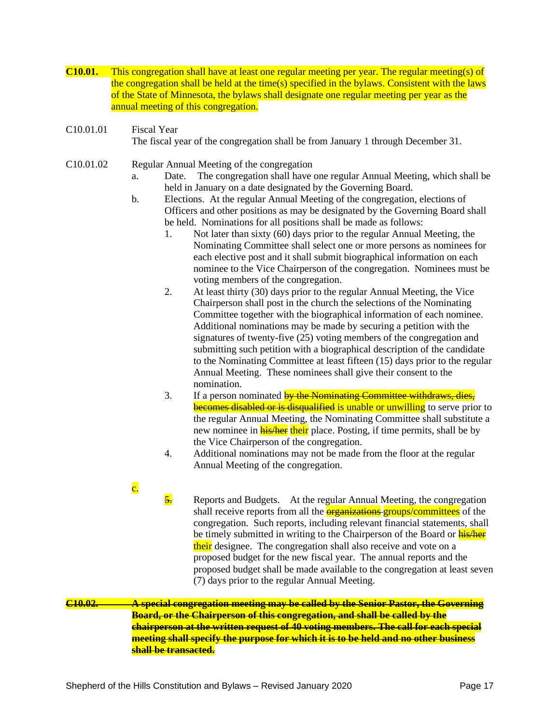- **C10.01.** This congregation shall have at least one regular meeting per year. The regular meeting(s) of the congregation shall be held at the time(s) specified in the bylaws. Consistent with the laws of the State of Minnesota, the bylaws shall designate one regular meeting per year as the annual meeting of this congregation.
- C10.01.01 Fiscal Year The fiscal year of the congregation shall be from January 1 through December 31.
- C10.01.02 Regular Annual Meeting of the congregation
	- a. Date. The congregation shall have one regular Annual Meeting, which shall be held in January on a date designated by the Governing Board.
	- b. Elections. At the regular Annual Meeting of the congregation, elections of Officers and other positions as may be designated by the Governing Board shall be held. Nominations for all positions shall be made as follows:
		- 1. Not later than sixty (60) days prior to the regular Annual Meeting, the Nominating Committee shall select one or more persons as nominees for each elective post and it shall submit biographical information on each nominee to the Vice Chairperson of the congregation. Nominees must be voting members of the congregation.
		- 2. At least thirty (30) days prior to the regular Annual Meeting, the Vice Chairperson shall post in the church the selections of the Nominating Committee together with the biographical information of each nominee. Additional nominations may be made by securing a petition with the signatures of twenty-five (25) voting members of the congregation and submitting such petition with a biographical description of the candidate to the Nominating Committee at least fifteen (15) days prior to the regular Annual Meeting. These nominees shall give their consent to the nomination.
		- 3. If a person nominated by the Nominating Committee withdraws, dies, becomes disabled or is disqualified is unable or unwilling to serve prior to the regular Annual Meeting, the Nominating Committee shall substitute a new nominee in **his/her** their place. Posting, if time permits, shall be by the Vice Chairperson of the congregation.
		- 4. Additional nominations may not be made from the floor at the regular Annual Meeting of the congregation.
	- c.

 $\frac{5}{2}$  Reports and Budgets. At the regular Annual Meeting, the congregation shall receive reports from all the **organizations** groups/committees of the congregation. Such reports, including relevant financial statements, shall be timely submitted in writing to the Chairperson of the Board or **his/her** their designee. The congregation shall also receive and vote on a proposed budget for the new fiscal year. The annual reports and the proposed budget shall be made available to the congregation at least seven (7) days prior to the regular Annual Meeting.

## **C10.02. A special congregation meeting may be called by the Senior Pastor, the Governing Board, or the Chairperson of this congregation, and shall be called by the chairperson at the written request of 40 voting members. The call for each special meeting shall specify the purpose for which it is to be held and no other business shall be transacted.**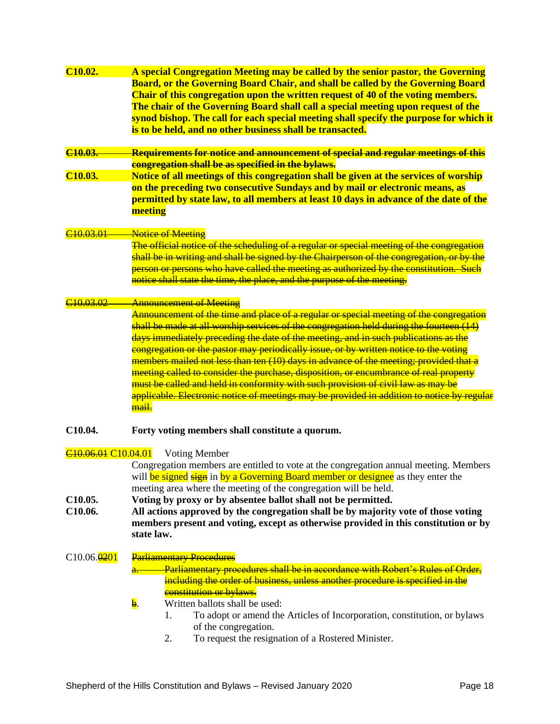| C <sub>10.02</sub> .                        | A special Congregation Meeting may be called by the senior pastor, the Governing           |
|---------------------------------------------|--------------------------------------------------------------------------------------------|
|                                             | Board, or the Governing Board Chair, and shall be called by the Governing Board            |
|                                             | Chair of this congregation upon the written request of 40 of the voting members.           |
|                                             | The chair of the Governing Board shall call a special meeting upon request of the          |
|                                             | synod bishop. The call for each special meeting shall specify the purpose for which it     |
|                                             | is to be held, and no other business shall be transacted.                                  |
|                                             |                                                                                            |
| C <sub>10.03</sub>                          | Requirements for notice and announcement of special and regular meetings of this           |
|                                             | congregation shall be as specified in the bylaws.                                          |
| C <sub>10.03</sub> .                        | Notice of all meetings of this congregation shall be given at the services of worship      |
|                                             | on the preceding two consecutive Sundays and by mail or electronic means, as               |
|                                             | permitted by state law, to all members at least 10 days in advance of the date of the      |
|                                             | meeting                                                                                    |
|                                             |                                                                                            |
| <u>40 03 01</u>                             | <b>Notice of Meeting</b>                                                                   |
|                                             | The official notice of the scheduling of a regular or special meeting of the congregation  |
|                                             | shall be in writing and shall be signed by the Chairperson of the congregation, or by the  |
|                                             | person or persons who have called the meeting as authorized by the constitution. Such      |
|                                             | notice shall state the time, the place, and the purpose of the meeting.                    |
|                                             |                                                                                            |
| <u>C10 03 02</u>                            | <b>Announcement of Meeting</b>                                                             |
|                                             | Announcement of the time and place of a regular or special meeting of the congregation     |
|                                             | shall be made at all worship services of the congregation held during the fourteen (14)    |
|                                             | days immediately preceding the date of the meeting, and in such publications as the        |
|                                             | congregation or the pastor may periodically issue, or by written notice to the voting      |
|                                             | members mailed not less than ten (10) days in advance of the meeting; provided that a      |
|                                             | meeting called to consider the purchase, disposition, or encumbrance of real property      |
|                                             | must be called and held in conformity with such provision of civil law as may be           |
|                                             | applicable. Electronic notice of meetings may be provided in addition to notice by regular |
|                                             | mail.                                                                                      |
|                                             |                                                                                            |
| C10.04.                                     | Forty voting members shall constitute a quorum.                                            |
|                                             |                                                                                            |
| C <sub>10.06.01</sub> C <sub>10.04.01</sub> | <b>Voting Member</b>                                                                       |
|                                             | Congregation members are entitled to vote at the congregation annual meeting. Members      |
|                                             | will be signed sign in by a Governing Board member or designee as they enter the           |
|                                             | meeting area where the meeting of the congregation will be held.                           |
| C <sub>10.05</sub> .                        | Voting by proxy or by absentee ballot shall not be permitted.                              |
| C10.06.                                     | All actions approved by the congregation shall be by majority vote of those voting         |
|                                             | members present and voting, except as otherwise provided in this constitution or by        |
|                                             | state law.                                                                                 |
|                                             |                                                                                            |
| $C10.06.\overline{0201}$                    | <b>Parliamentary Procedures</b>                                                            |
|                                             | Parliamentary procedures shall be in accordance with Robert's Rules of Order,              |
|                                             | including the order of business, unless another procedure is specified in the              |
|                                             | constitution or bylaws.                                                                    |
|                                             | $\mathbf b$ .<br>Written ballots shall be used:                                            |
|                                             | To adopt or amend the Articles of Incorporation, constitution, or bylaws<br>1.             |
|                                             | of the congregation.                                                                       |
|                                             | To request the resignation of a Rostered Minister.<br>2.                                   |
|                                             |                                                                                            |
|                                             |                                                                                            |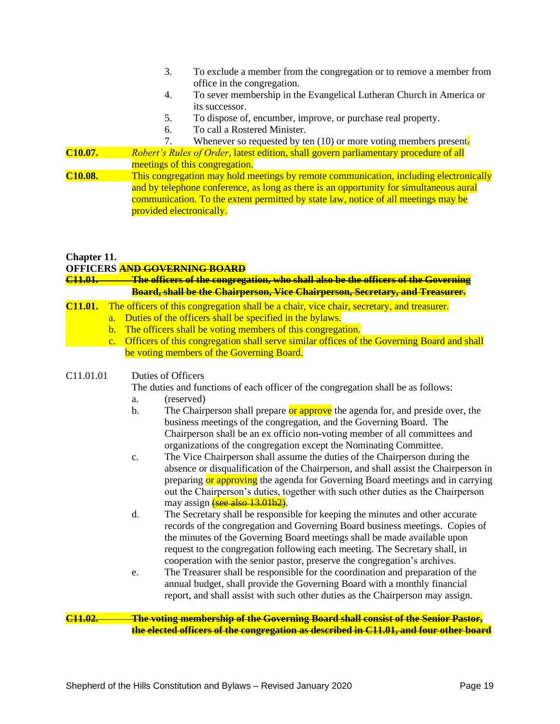- 3. To exclude a member from the congregation or to remove a member from office in the congregation.
- 4. To sever membership in the Evangelical Lutheran Church in America or its successor.
- 5. To dispose of, encumber, improve, or purchase real property.
- 6. To call a Rostered Minister.

7. Whenever so requested by ten (10) or more voting members present. **C10.07.** *Robert's Rules of Order*, latest edition, shall govern parliamentary procedure of all meetings of this congregation. **C10.08.** This congregation may hold meetings by remote communication, including electronically

and by telephone conference, as long as there is an opportunity for simultaneous aural communication. To the extent permitted by state law, notice of all meetings may be provided electronically.

## **Chapter 11.**

### **OFFICERS AND GOVERNING BOARD**

**C11.01. The officers of the congregation, who shall also be the officers of the Governing Board, shall be the Chairperson, Vice Chairperson, Secretary, and Treasurer.** 

## **C11.01.** The officers of this congregation shall be a chair, vice chair, secretary, and treasurer.

- a. Duties of the officers shall be specified in the bylaws.
- b. The officers shall be voting members of this congregation.
- c. Officers of this congregation shall serve similar offices of the Governing Board and shall be voting members of the Governing Board.

### C11.01.01 Duties of Officers

The duties and functions of each officer of the congregation shall be as follows:

- a. (reserved)
- b. The Chairperson shall prepare or approve the agenda for, and preside over, the business meetings of the congregation, and the Governing Board. The Chairperson shall be an ex officio non-voting member of all committees and organizations of the congregation except the Nominating Committee.
- c. The Vice Chairperson shall assume the duties of the Chairperson during the absence or disqualification of the Chairperson, and shall assist the Chairperson in preparing or approving the agenda for Governing Board meetings and in carrying out the Chairperson's duties, together with such other duties as the Chairperson may assign (see also 13.01b2).
- d. The Secretary shall be responsible for keeping the minutes and other accurate records of the congregation and Governing Board business meetings. Copies of the minutes of the Governing Board meetings shall be made available upon request to the congregation following each meeting. The Secretary shall, in cooperation with the senior pastor, preserve the congregation's archives.
- e. The Treasurer shall be responsible for the coordination and preparation of the annual budget, shall provide the Governing Board with a monthly financial report, and shall assist with such other duties as the Chairperson may assign.

### **C11.02. The voting membership of the Governing Board shall consist of the Senior Pastor, the elected officers of the congregation as described in C11.01, and four other board**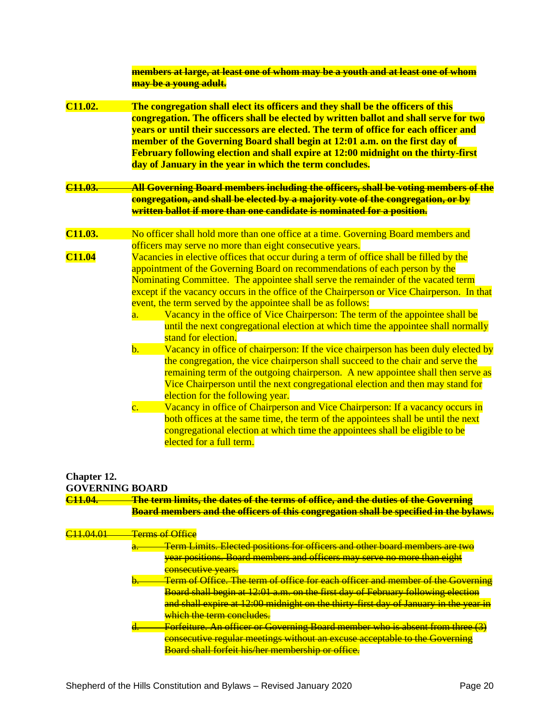|                      | <del>members at large, at least one of whom may be a youth and at least one of whom</del><br>may be a young adult.                                                                                                                                                                                                                                                                                                                                                                                                                                                                                                                         |
|----------------------|--------------------------------------------------------------------------------------------------------------------------------------------------------------------------------------------------------------------------------------------------------------------------------------------------------------------------------------------------------------------------------------------------------------------------------------------------------------------------------------------------------------------------------------------------------------------------------------------------------------------------------------------|
| C <sub>11.02</sub> . | The congregation shall elect its officers and they shall be the officers of this<br>congregation. The officers shall be elected by written ballot and shall serve for two<br>years or until their successors are elected. The term of office for each officer and<br>member of the Governing Board shall begin at 12:01 a.m. on the first day of<br>February following election and shall expire at 12:00 midnight on the thirty-first<br>day of January in the year in which the term concludes.                                                                                                                                          |
| C <sub>11.03</sub>   | <u>All Governing Board members including the officers, shall be voting members of the </u><br><mark>congregation, and shall be elected by a majority vote of the congregation, or by</mark><br>written ballot if more than one candidate is nominated for a position.                                                                                                                                                                                                                                                                                                                                                                      |
| C <sub>11.03</sub> . | No officer shall hold more than one office at a time. Governing Board members and                                                                                                                                                                                                                                                                                                                                                                                                                                                                                                                                                          |
|                      | officers may serve no more than eight consecutive years.                                                                                                                                                                                                                                                                                                                                                                                                                                                                                                                                                                                   |
| <b>C11.04</b>        | Vacancies in elective offices that occur during a term of office shall be filled by the<br>appointment of the Governing Board on recommendations of each person by the<br>Nominating Committee. The appointee shall serve the remainder of the vacated term<br>except if the vacancy occurs in the office of the Chairperson or Vice Chairperson. In that<br>event, the term served by the appointee shall be as follows:<br>Vacancy in the office of Vice Chairperson: The term of the appointee shall be<br>$\overline{a}$ .<br>until the next congregational election at which time the appointee shall normally<br>stand for election. |
|                      | Vacancy in office of chairperson: If the vice chairperson has been duly elected by<br>$\mathbf{b}$ .                                                                                                                                                                                                                                                                                                                                                                                                                                                                                                                                       |
|                      | the congregation, the vice chairperson shall succeed to the chair and serve the<br>remaining term of the outgoing chairperson. A new appointee shall then serve as<br>Vice Chairperson until the next congregational election and then may stand for<br>election for the following year.<br>Vacancy in office of Chairperson and Vice Chairperson: If a vacancy occurs in<br>$\overline{\mathbf{c}}$ .<br>both offices at the same time, the term of the appointees shall be until the next<br>congregational election at which time the appointees shall be eligible to be<br>elected for a full term.                                    |

# **Chapter 12.**

| <b>GOVERNING BOARD</b> |  |
|------------------------|--|
|------------------------|--|

| C <sub>11.04</sub>   | <u>The term limits, the dates of the terms of office, and the duties of the Governing </u><br>Board members and the officers of this congregation shall be specified in the bylaws. |
|----------------------|-------------------------------------------------------------------------------------------------------------------------------------------------------------------------------------|
|                      |                                                                                                                                                                                     |
| <del>311.04.01</del> | <del>Terms of Office</del>                                                                                                                                                          |
|                      | Term Limits. Elected positions for officers and other board members are two                                                                                                         |
|                      | year positions. Board members and officers may serve no more than eight                                                                                                             |
|                      | <del>consecutive years.</del>                                                                                                                                                       |
|                      | Term of Office. The term of office for each officer and member of the Governing                                                                                                     |
|                      | Board shall begin at 12:01 a.m. on the first day of February following election                                                                                                     |
|                      | and shall expire at 12:00 midnight on the thirty-first day of January in the year in                                                                                                |
|                      | which the term concludes.                                                                                                                                                           |
|                      | <b>Forfeiture. An officer or Governing Board member who is absent from three (3)</b>                                                                                                |
|                      | consecutive regular meetings without an excuse acceptable to the Governing                                                                                                          |
|                      | Board shall forfeit his/her membership or office.                                                                                                                                   |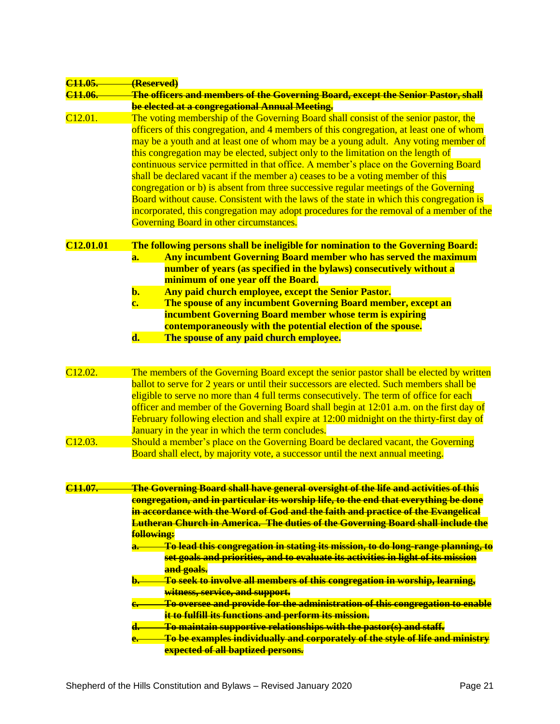| <del>C11.05.</del>    | (Reserved)                                                                                |
|-----------------------|-------------------------------------------------------------------------------------------|
| C <sub>11.06</sub> .  | The officers and members of the Governing Board, except the Senior Pastor, shall          |
|                       | be elected at a congregational Annual Meeting.                                            |
| C <sub>12.01</sub> .  | The voting membership of the Governing Board shall consist of the senior pastor, the      |
|                       | officers of this congregation, and 4 members of this congregation, at least one of whom   |
|                       | may be a youth and at least one of whom may be a young adult. Any voting member of        |
|                       | this congregation may be elected, subject only to the limitation on the length of         |
|                       | continuous service permitted in that office. A member's place on the Governing Board      |
|                       | shall be declared vacant if the member a) ceases to be a voting member of this            |
|                       | congregation or b) is absent from three successive regular meetings of the Governing      |
|                       | Board without cause. Consistent with the laws of the state in which this congregation is  |
|                       | incorporated, this congregation may adopt procedures for the removal of a member of the   |
|                       | Governing Board in other circumstances.                                                   |
| C <sub>12.01.01</sub> | The following persons shall be ineligible for nomination to the Governing Board:          |
|                       | Any incumbent Governing Board member who has served the maximum<br>a.                     |
|                       | number of years (as specified in the bylaws) consecutively without a                      |
|                       | minimum of one year off the Board.                                                        |
|                       | Any paid church employee, except the Senior Pastor.<br>$\mathbf{b}$ .                     |
|                       | $\mathbf{c}$ .<br>The spouse of any incumbent Governing Board member, except an           |
|                       | incumbent Governing Board member whose term is expiring                                   |
|                       | contemporaneously with the potential election of the spouse.                              |
|                       | d.<br>The spouse of any paid church employee.                                             |
|                       |                                                                                           |
| C <sub>12.02</sub> .  |                                                                                           |
|                       | The members of the Governing Board except the senior pastor shall be elected by written   |
|                       | ballot to serve for 2 years or until their successors are elected. Such members shall be  |
|                       | eligible to serve no more than 4 full terms consecutively. The term of office for each    |
|                       | officer and member of the Governing Board shall begin at 12:01 a.m. on the first day of   |
|                       | February following election and shall expire at 12:00 midnight on the thirty-first day of |
|                       | January in the year in which the term concludes.                                          |
| C <sub>12.03</sub> .  | Should a member's place on the Governing Board be declared vacant, the Governing          |
|                       | Board shall elect, by majority vote, a successor until the next annual meeting.           |
|                       |                                                                                           |
| C <sub>11.07</sub>    | The Governing Board shall have general oversight of the life and activities of this       |
|                       | congregation, and in particular its worship life, to the end that everything be done      |
|                       | in accordance with the Word of God and the faith and practice of the Evangelical          |
|                       | <b>Lutheran Church in America. The duties of the Governing Board shall include the</b>    |
|                       | following:                                                                                |
|                       | To lead this congregation in stating its mission, to do long-range planning, to           |
|                       | set goals and priorities, and to evaluate its activities in light of its mission          |
|                       | and goals.                                                                                |
|                       | To seek to involve all members of this congregation in worship, learning,                 |
|                       | witness, service, and support.                                                            |
|                       | To oversee and provide for the administration of this congregation to enable              |
|                       | it to fulfill its functions and perform its mission.                                      |
|                       | To maintain supportive relationships with the pastor(s) and staff.<br>d. –                |
|                       | To be examples individually and corporately of the style of life and ministry<br>e.       |
|                       | expected of all baptized persons.                                                         |
|                       |                                                                                           |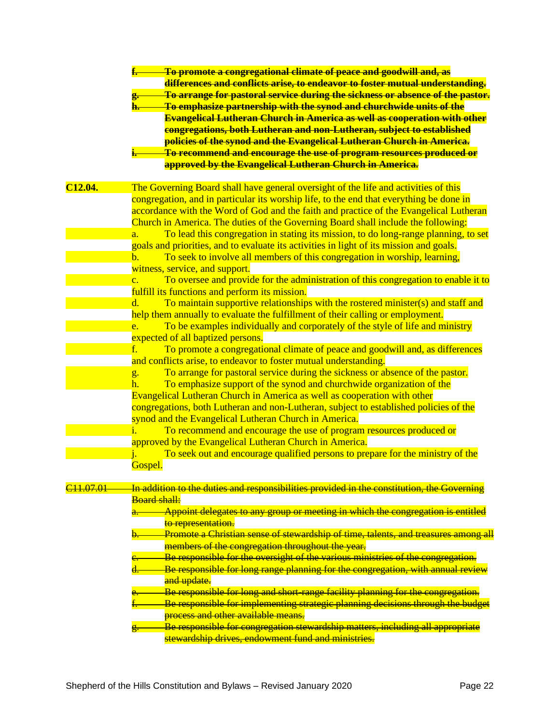|                      | To promote a congregational climate of peace and goodwill and, as<br>differences and conflicts arise, to endeavor to foster mutual understanding.<br>To arrange for pastoral service during the sickness or absence of the pastor.<br>To emphasize partnership with the synod and churchwide units of the<br>h.<br><b>Evangelical Lutheran Church in America as well as cooperation with other</b>                                                                                                                                                                                                                                                                 |
|----------------------|--------------------------------------------------------------------------------------------------------------------------------------------------------------------------------------------------------------------------------------------------------------------------------------------------------------------------------------------------------------------------------------------------------------------------------------------------------------------------------------------------------------------------------------------------------------------------------------------------------------------------------------------------------------------|
|                      | congregations, both Lutheran and non-Lutheran, subject to established<br>policies of the synod and the Evangelical Lutheran Church in America.<br>To recommend and encourage the use of program resources produced or<br>approved by the Evangelical Lutheran Church in America.                                                                                                                                                                                                                                                                                                                                                                                   |
| C <sub>12.04</sub> . | The Governing Board shall have general oversight of the life and activities of this<br>congregation, and in particular its worship life, to the end that everything be done in<br>accordance with the Word of God and the faith and practice of the Evangelical Lutheran<br>Church in America. The duties of the Governing Board shall include the following:<br>To lead this congregation in stating its mission, to do long-range planning, to set<br>$\overline{a}$ .<br>goals and priorities, and to evaluate its activities in light of its mission and goals.<br>To seek to involve all members of this congregation in worship, learning,<br>$\mathbf{b}$ . |
|                      | witness, service, and support.<br>To oversee and provide for the administration of this congregation to enable it to<br>$\overline{c}$ .<br>fulfill its functions and perform its mission.<br>To maintain supportive relationships with the rostered minister(s) and staff and<br>d.<br>help them annually to evaluate the fulfillment of their calling or employment.<br>To be examples individually and corporately of the style of life and ministry<br>e.                                                                                                                                                                                                      |
|                      | expected of all baptized persons.<br>To promote a congregational climate of peace and goodwill and, as differences<br>f.<br>and conflicts arise, to endeavor to foster mutual understanding.<br>To arrange for pastoral service during the sickness or absence of the pastor.<br>g.<br>To emphasize support of the synod and churchwide organization of the<br>h.<br><b>Evangelical Lutheran Church in America as well as cooperation with other</b>                                                                                                                                                                                                               |
|                      | congregations, both Lutheran and non-Lutheran, subject to established policies of the<br>synod and the Evangelical Lutheran Church in America.<br>To recommend and encourage the use of program resources produced or<br>1 <sub>1</sub><br>approved by the Evangelical Lutheran Church in America.<br>To seek out and encourage qualified persons to prepare for the ministry of the                                                                                                                                                                                                                                                                               |
| <del>311.07.01</del> | Gospel.<br>In addition to the duties and responsibilities provided in the constitution, the Governing<br><b>Board shall:</b><br>Appoint delegates to any group or meeting in which the congregation is entitled<br>to representation.                                                                                                                                                                                                                                                                                                                                                                                                                              |
|                      | Promote a Christian sense of stewardship of time, talents, and treasures among all<br>members of the congregation throughout the year.<br>Be responsible for the oversight of the various ministries of the congregation.<br>Be responsible for long range planning for the congregation, with annual review<br>and update.                                                                                                                                                                                                                                                                                                                                        |
|                      | Be responsible for long and short-range facility planning for the congregation.<br>Be responsible for implementing strategic planning decisions through the budget<br>process and other available means.<br>Be responsible for congregation stewardship matters, including all appropriate<br>stewardship drives, endowment fund and ministries.                                                                                                                                                                                                                                                                                                                   |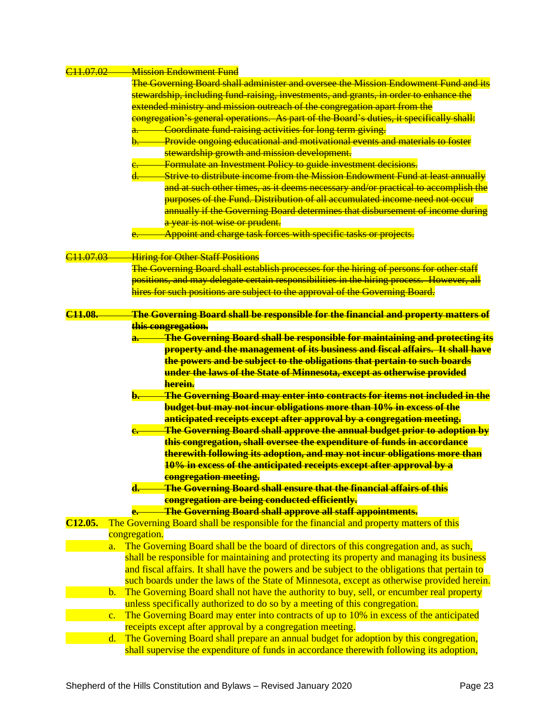| C <sub>11.07.02</sub> |                | <b>Mission Endowment Fund</b>                                                                  |
|-----------------------|----------------|------------------------------------------------------------------------------------------------|
|                       |                | The Governing Board shall administer and oversee the Mission Endowment Fund and its            |
|                       |                | stewardship, including fund-raising, investments, and grants, in order to enhance the          |
|                       |                | extended ministry and mission outreach of the congregation apart from the                      |
|                       |                | congregation's general operations. As part of the Board's duties, it specifically shall:       |
|                       |                | Coordinate fund raising activities for long term giving.                                       |
|                       |                | <b>Provide ongoing educational and motivational events and materials to foster</b>             |
|                       |                | stewardship growth and mission development.                                                    |
|                       |                | <b>Example 6 Formulate an Investment Policy to guide investment decisions.</b>                 |
|                       |                | Strive to distribute income from the Mission Endowment Fund at least annually                  |
|                       |                | and at such other times, as it deems necessary and/or practical to accomplish the              |
|                       |                | purposes of the Fund. Distribution of all accumulated income need not occur                    |
|                       |                | annually if the Governing Board determines that disbursement of income during                  |
|                       |                |                                                                                                |
|                       |                | a year is not wise or prudent.                                                                 |
|                       |                | Appoint and charge task forces with specific tasks or projects.                                |
|                       |                |                                                                                                |
| C <sub>11.07.03</sub> |                | <b>Hiring for Other Staff Positions</b>                                                        |
|                       |                | The Governing Board shall establish processes for the hiring of persons for other staff        |
|                       |                | positions, and may delegate certain responsibilities in the hiring process. However, all       |
|                       |                | hires for such positions are subject to the approval of the Governing Board.                   |
|                       |                |                                                                                                |
| C <sub>11.08</sub>    |                | The Governing Board shall be responsible for the financial and property matters of             |
|                       |                | this congregation.                                                                             |
|                       |                | The Governing Board shall be responsible for maintaining and protecting its                    |
|                       |                | property and the management of its business and fiscal affairs. It shall have                  |
|                       |                | the powers and be subject to the obligations that pertain to such boards                       |
|                       |                | under the laws of the State of Minnesota, except as otherwise provided                         |
|                       |                | herein.                                                                                        |
|                       |                | The Governing Board may enter into contracts for items not included in the                     |
|                       |                | <b>budget but may not incur obligations more than 10% in excess of the</b>                     |
|                       |                | anticipated receipts except after approval by a congregation meeting.                          |
|                       |                | <b>The Governing Board shall approve the annual budget prior to adoption by</b>                |
|                       |                | this congregation, shall oversee the expenditure of funds in accordance                        |
|                       |                | therewith following its adoption, and may not incur obligations more than                      |
|                       |                | 10% in excess of the anticipated receipts except after approval by a                           |
|                       |                |                                                                                                |
|                       |                | <mark>eongregation meeting.</mark>                                                             |
|                       |                | <b>The Governing Board shall ensure that the financial affairs of this</b>                     |
|                       |                | congregation are being conducted efficiently.                                                  |
|                       |                | <b>The Governing Board shall approve all staff appointments.</b>                               |
| C <sub>12.05</sub> .  |                | The Governing Board shall be responsible for the financial and property matters of this        |
|                       |                | congregation.                                                                                  |
|                       | a.             | The Governing Board shall be the board of directors of this congregation and, as such,         |
|                       |                | shall be responsible for maintaining and protecting its property and managing its business     |
|                       |                | and fiscal affairs. It shall have the powers and be subject to the obligations that pertain to |
|                       |                | such boards under the laws of the State of Minnesota, except as otherwise provided herein.     |
|                       | $\mathbf{b}$ . | The Governing Board shall not have the authority to buy, sell, or encumber real property       |
|                       |                | unless specifically authorized to do so by a meeting of this congregation.                     |
|                       | $\mathbf{c}$ . | The Governing Board may enter into contracts of up to 10% in excess of the anticipated         |
|                       |                | receipts except after approval by a congregation meeting.                                      |
|                       | d.             | The Governing Board shall prepare an annual budget for adoption by this congregation,          |
|                       |                | shall supervise the expenditure of funds in accordance therewith following its adoption,       |
|                       |                |                                                                                                |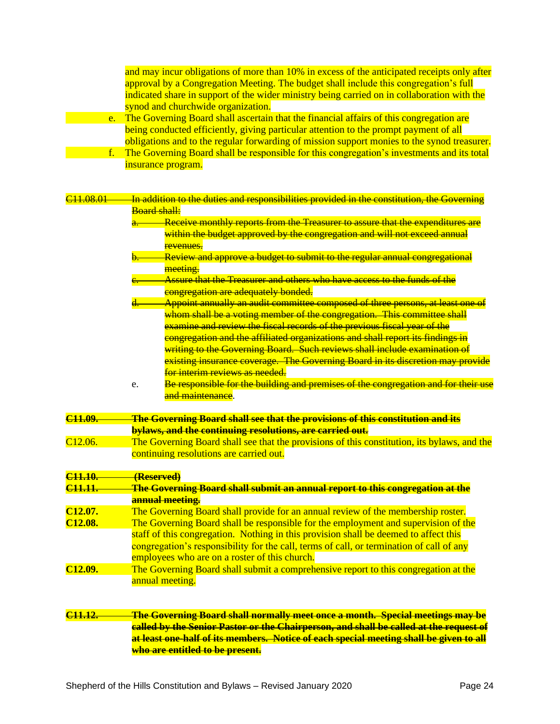and may incur obligations of more than 10% in excess of the anticipated receipts only after approval by a Congregation Meeting. The budget shall include this congregation's full indicated share in support of the wider ministry being carried on in collaboration with the synod and churchwide organization.

- e. The Governing Board shall ascertain that the financial affairs of this congregation are being conducted efficiently, giving particular attention to the prompt payment of all obligations and to the regular forwarding of mission support monies to the synod treasurer.
- f. The Governing Board shall be responsible for this congregation's investments and its total insurance program.

| C <sub>11.08.01</sub> | In addition to the duties and responsibilities provided in the constitution, the Governing            |
|-----------------------|-------------------------------------------------------------------------------------------------------|
|                       | <b>Board shall:</b>                                                                                   |
|                       | Receive monthly reports from the Treasurer to assure that the expenditures are<br><mark>a. — —</mark> |
|                       | within the budget approved by the congregation and will not exceed annual                             |
|                       | revenues.                                                                                             |
|                       | Review and approve a budget to submit to the regular annual congregational                            |
|                       | meeting.                                                                                              |
|                       | Assure that the Treasurer and others who have access to the funds of the                              |
|                       | congregation are adequately bonded.                                                                   |
|                       | Appoint annually an audit committee composed of three persons, at least one of                        |
|                       | whom shall be a voting member of the congregation. This committee shall                               |
|                       | examine and review the fiscal records of the previous fiscal year of the                              |
|                       | <mark>congregation and the affiliated organizations and shall report its findings in</mark>           |
|                       | writing to the Governing Board. Such reviews shall include examination of                             |
|                       | existing insurance coverage. The Governing Board in its discretion may provide                        |
|                       | for interim reviews as needed.                                                                        |
|                       | Be responsible for the building and premises of the congregation and for their use<br>e.              |
|                       | and maintenance.                                                                                      |
|                       |                                                                                                       |
| C <sub>11.09</sub>    | <b>The Governing Board shall see that the provisions of this constitution and its</b>                 |
|                       | bylaws, and the continuing resolutions, are carried out.                                              |
| C <sub>12.06</sub> .  | The Governing Board shall see that the provisions of this constitution, its bylaws, and the           |
|                       | continuing resolutions are carried out.                                                               |
|                       |                                                                                                       |
| C <sub>11.10</sub>    | (Reserved)                                                                                            |
| C <sub>11.11</sub>    | The Governing Board shall submit an annual report to this congregation at the                         |
|                       | annual meeting.                                                                                       |
| C <sub>12.07</sub> .  | The Governing Board shall provide for an annual review of the membership roster.                      |
| C <sub>12.08</sub> .  | The Governing Board shall be responsible for the employment and supervision of the                    |
|                       | staff of this congregation. Nothing in this provision shall be deemed to affect this                  |
|                       | congregation's responsibility for the call, terms of call, or termination of call of any              |
|                       | employees who are on a roster of this church.                                                         |
| C <sub>12.09</sub> .  | The Governing Board shall submit a comprehensive report to this congregation at the                   |
|                       | annual meeting.                                                                                       |
|                       |                                                                                                       |
|                       |                                                                                                       |
| C <sub>11.12</sub>    | <u>The Governing Board shall normally meet once a month. Special meetings may be</u>                  |
|                       | called by the Senior Pastor or the Chairperson, and shall be called at the request of                 |
|                       | at least one-half of its members. Notice of each special meeting shall be given to all                |
|                       | who are entitled to be present.                                                                       |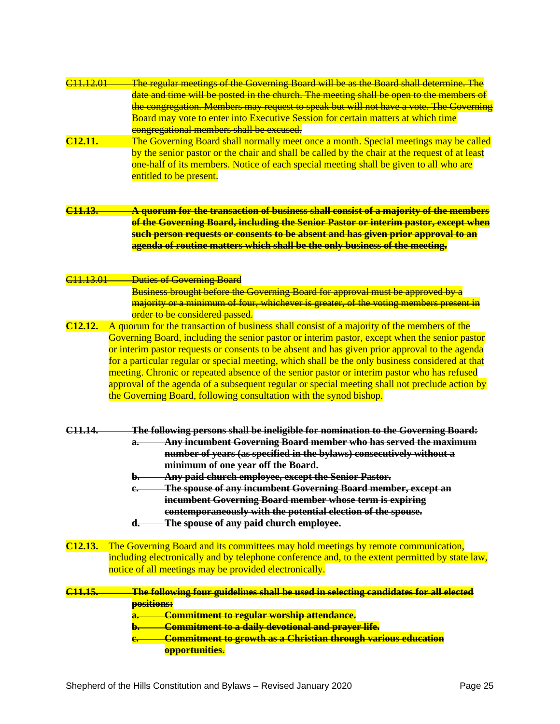| C <sub>11</sub> , 12, 01 | The regular meetings of the Governing Board will be as the Board shall determine. The            |
|--------------------------|--------------------------------------------------------------------------------------------------|
|                          | date and time will be posted in the church. The meeting shall be open to the members of          |
|                          | the congregation. Members may request to speak but will not have a vote. The Governing           |
|                          | Board may vote to enter into Executive Session for certain matters at which time                 |
|                          |                                                                                                  |
|                          | congregational members shall be excused.                                                         |
| C <sub>12.11</sub> .     | The Governing Board shall normally meet once a month. Special meetings may be called             |
|                          | by the senior pastor or the chair and shall be called by the chair at the request of at least    |
|                          | one-half of its members. Notice of each special meeting shall be given to all who are            |
|                          | entitled to be present.                                                                          |
|                          |                                                                                                  |
|                          |                                                                                                  |
|                          |                                                                                                  |
| C <sub>11.13</sub>       | A quorum for the transaction of business shall consist of a majority of the members              |
|                          | of the Governing Board, including the Senior Pastor or interim pastor, except when               |
|                          | such person requests or consents to be absent and has given prior approval to an                 |
|                          | agenda of routine matters which shall be the only business of the meeting.                       |
|                          |                                                                                                  |
|                          |                                                                                                  |
| <del>C11.13.01</del>     | <b>Duties of Governing Board</b>                                                                 |
|                          |                                                                                                  |
|                          | <b>Business brought before the Governing Board for approval must be approved by a</b>            |
|                          | majority or a minimum of four, whichever is greater, of the voting members present in            |
|                          | order to be considered passed.                                                                   |
| C <sub>12.12</sub> .     | A quorum for the transaction of business shall consist of a majority of the members of the       |
|                          | Governing Board, including the senior pastor or interim pastor, except when the senior pastor    |
|                          | or interim pastor requests or consents to be absent and has given prior approval to the agenda   |
|                          | for a particular regular or special meeting, which shall be the only business considered at that |
|                          |                                                                                                  |
|                          | meeting. Chronic or repeated absence of the senior pastor or interim pastor who has refused      |
|                          | approval of the agenda of a subsequent regular or special meeting shall not preclude action by   |
|                          | the Governing Board, following consultation with the synod bishop.                               |
|                          |                                                                                                  |
|                          |                                                                                                  |
| <del>C11.14.</del>       | The following persons shall be ineligible for nomination to the Governing Board:                 |
|                          | Any incumbent Governing Board member who has served the maximum<br>$a -$                         |
|                          |                                                                                                  |
|                          | number of years (as specified in the bylaws) consecutively without a                             |
|                          | minimum of one year off the Board.                                                               |
|                          | Any paid church employee, except the Senior Pastor.<br>b.                                        |
|                          | The spouse of any incumbent Governing Board member, except an                                    |
|                          | incumbent Governing Board member whose term is expiring                                          |
|                          | contemporaneously with the potential election of the spouse.                                     |
|                          | The spouse of any paid church employee.                                                          |
|                          | d.                                                                                               |
|                          |                                                                                                  |
| C <sub>12.13</sub> .     |                                                                                                  |
|                          | The Governing Board and its committees may hold meetings by remote communication,                |
|                          | including electronically and by telephone conference and, to the extent permitted by state law,  |
|                          |                                                                                                  |
|                          | notice of all meetings may be provided electronically.                                           |
|                          |                                                                                                  |
| <del>C11.15.</del>       | The following four guidelines shall be used in selecting candidates for all elected              |
|                          | positions:                                                                                       |
|                          | Commitment to regular worship attendance.                                                        |
|                          | Commitment to a daily devotional and prayer life.                                                |
|                          | Commitment to growth as a Christian through various education                                    |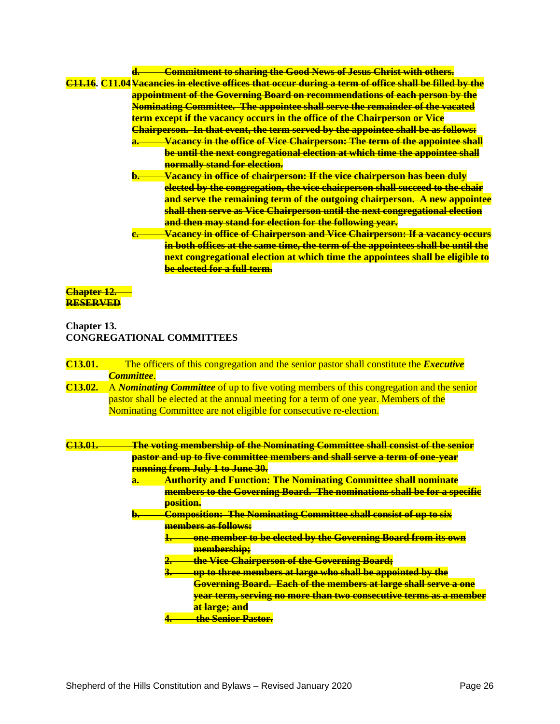# **d. Commitment to sharing the Good News of Jesus Christ with others. C11.16. C11.04Vacancies in elective offices that occur during a term of office shall be filled by the appointment of the Governing Board on recommendations of each person by the Nominating Committee. The appointee shall serve the remainder of the vacated term except if the vacancy occurs in the office of the Chairperson or Vice Chairperson. In that event, the term served by the appointee shall be as follows: a. Vacancy in the office of Vice Chairperson: The term of the appointee shall be until the next congregational election at which time the appointee shall normally stand for election. b. Vacancy in office of chairperson: If the vice chairperson has been duly elected by the congregation, the vice chairperson shall succeed to the chair and serve the remaining term of the outgoing chairperson. A new appointee shall then serve as Vice Chairperson until the next congregational election and then may stand for election for the following year. c. Vacancy in office of Chairperson and Vice Chairperson: If a vacancy occurs in both offices at the same time, the term of the appointees shall be until the next congregational election at which time the appointees shall be eligible to be elected for a full term.**

## **Chapter 12. RESERVED**

# **Chapter 13. CONGREGATIONAL COMMITTEES**

| C <sub>13.01.</sub> | The officers of this congregation and the senior pastor shall constitute the <i>Executive</i>  |
|---------------------|------------------------------------------------------------------------------------------------|
|                     | <b>Committee</b>                                                                               |
| C <sub>13.02.</sub> | A <i>Nominating Committee</i> of up to five voting members of this congregation and the senior |
|                     | pastor shall be elected at the annual meeting for a term of one year. Members of the           |
|                     | Nominating Committee are not eligible for consecutive re-election.                             |
|                     |                                                                                                |
| C <sub>13.01</sub>  | <del>The voting membership of the Nominating Committee shall consist of the senior</del>       |
|                     |                                                                                                |
|                     | pastor and up to five committee members and shall serve a term of one-year                     |
|                     | <b>running from July 1 to June 30.</b>                                                         |
|                     | <b>Authority and Function: The Nominating Committee shall nominate</b><br>a.,                  |
|                     | members to the Governing Board. The nominations shall be for a specific                        |
|                     | position.                                                                                      |
|                     |                                                                                                |
|                     | <b>Composition: The Nominating Committee shall consist of up to six</b><br>b.                  |
|                     | members as follows:                                                                            |
|                     | one member to be elected by the Governing Board from its own                                   |
|                     | membership;                                                                                    |
|                     | the Vice Chairperson of the Governing Board;                                                   |
|                     | up to three members at large who shall be appointed by the<br>3.                               |
|                     | <b>Governing Board. Each of the members at large shall serve a one</b>                         |
|                     | year term, serving no more than two consecutive terms as a member                              |
|                     | at large; and                                                                                  |

**4. the Senior Pastor.**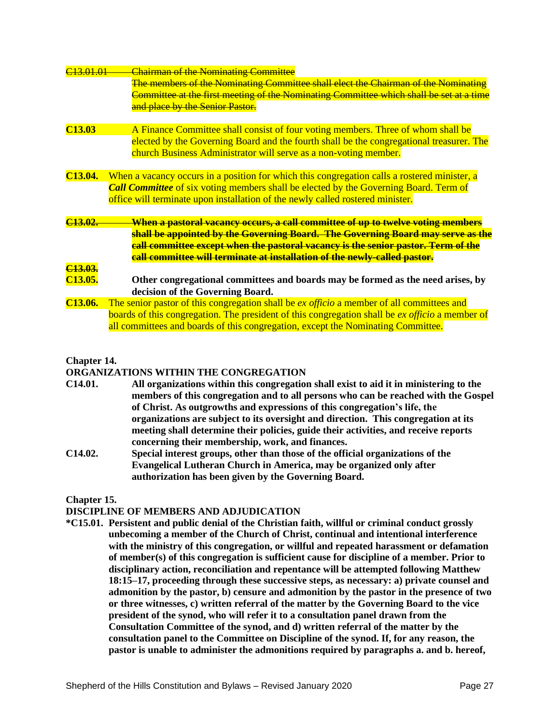| C13,01,01            | <b>Chairman of the Nominating Committee</b>                                                      |
|----------------------|--------------------------------------------------------------------------------------------------|
|                      | <b>The members of the Nominating Committee shall elect the Chairman of the Nominating</b>        |
|                      | Committee at the first meeting of the Nominating Committee which shall be set at a time          |
|                      | and place by the Senior Pastor.                                                                  |
|                      |                                                                                                  |
| C <sub>13.03</sub>   | A Finance Committee shall consist of four voting members. Three of whom shall be                 |
|                      | elected by the Governing Board and the fourth shall be the congregational treasurer. The         |
|                      | church Business Administrator will serve as a non-voting member.                                 |
| C <sub>13.04.</sub>  | When a vacancy occurs in a position for which this congregation calls a rostered minister, a     |
|                      | <b>Call Committee</b> of six voting members shall be elected by the Governing Board. Term of     |
|                      | office will terminate upon installation of the newly called rostered minister.                   |
|                      |                                                                                                  |
| C <sub>13.02</sub>   | <del>When a pastoral vacancy occurs, a call committee of up to twelve voting members</del>       |
|                      | shall be appointed by the Governing Board. The Governing Board may serve as the                  |
|                      | call committee except when the pastoral vacancy is the senior pastor. Term of the                |
|                      | call committee will terminate at installation of the newly-called pastor.                        |
| C <sub>13.03</sub> . |                                                                                                  |
| C <sub>13.05</sub> . | Other congregational committees and boards may be formed as the need arises, by                  |
|                      | decision of the Governing Board.                                                                 |
| C <sub>13.06</sub> . | The senior pastor of this congregation shall be <i>ex officio</i> a member of all committees and |
|                      | boards of this congregation. The president of this congregation shall be ex officio a member of  |
|                      | all committees and boards of this congregation, except the Nominating Committee.                 |
|                      |                                                                                                  |

## **Chapter 14.**

## **ORGANIZATIONS WITHIN THE CONGREGATION**

- **C14.01. All organizations within this congregation shall exist to aid it in ministering to the members of this congregation and to all persons who can be reached with the Gospel of Christ. As outgrowths and expressions of this congregation's life, the organizations are subject to its oversight and direction. This congregation at its meeting shall determine their policies, guide their activities, and receive reports concerning their membership, work, and finances.**
- **C14.02. Special interest groups, other than those of the official organizations of the Evangelical Lutheran Church in America, may be organized only after authorization has been given by the Governing Board.**

## **Chapter 15.**

### **DISCIPLINE OF MEMBERS AND ADJUDICATION**

**\*C15.01. Persistent and public denial of the Christian faith, willful or criminal conduct grossly unbecoming a member of the Church of Christ, continual and intentional interference with the ministry of this congregation, or willful and repeated harassment or defamation of member(s) of this congregation is sufficient cause for discipline of a member. Prior to disciplinary action, reconciliation and repentance will be attempted following Matthew 18:15–17, proceeding through these successive steps, as necessary: a) private counsel and admonition by the pastor, b) censure and admonition by the pastor in the presence of two or three witnesses, c) written referral of the matter by the Governing Board to the vice president of the synod, who will refer it to a consultation panel drawn from the Consultation Committee of the synod, and d) written referral of the matter by the consultation panel to the Committee on Discipline of the synod. If, for any reason, the pastor is unable to administer the admonitions required by paragraphs a. and b. hereof,**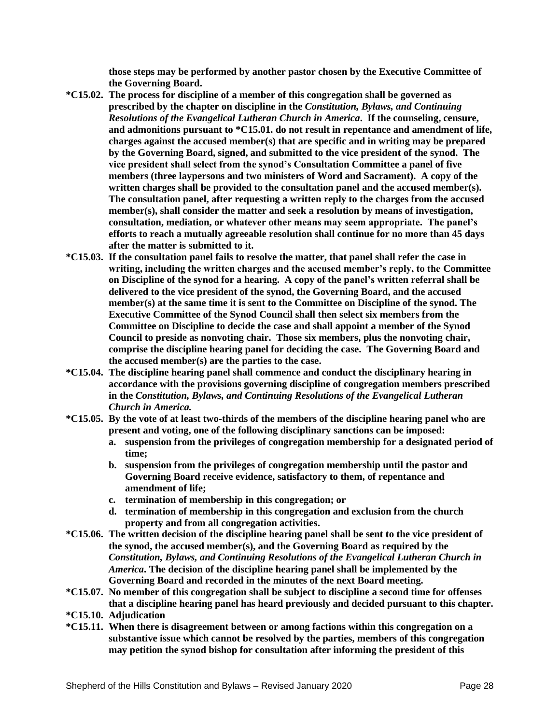**those steps may be performed by another pastor chosen by the Executive Committee of the Governing Board.**

- **\*C15.02. The process for discipline of a member of this congregation shall be governed as prescribed by the chapter on discipline in the** *Constitution, Bylaws, and Continuing Resolutions of the Evangelical Lutheran Church in America***. If the counseling, censure, and admonitions pursuant to \*C15.01. do not result in repentance and amendment of life, charges against the accused member(s) that are specific and in writing may be prepared by the Governing Board, signed, and submitted to the vice president of the synod. The vice president shall select from the synod's Consultation Committee a panel of five members (three laypersons and two ministers of Word and Sacrament). A copy of the written charges shall be provided to the consultation panel and the accused member(s). The consultation panel, after requesting a written reply to the charges from the accused member(s), shall consider the matter and seek a resolution by means of investigation, consultation, mediation, or whatever other means may seem appropriate. The panel's efforts to reach a mutually agreeable resolution shall continue for no more than 45 days after the matter is submitted to it.**
- **\*C15.03. If the consultation panel fails to resolve the matter, that panel shall refer the case in writing, including the written charges and the accused member's reply, to the Committee on Discipline of the synod for a hearing. A copy of the panel's written referral shall be delivered to the vice president of the synod, the Governing Board, and the accused member(s) at the same time it is sent to the Committee on Discipline of the synod. The Executive Committee of the Synod Council shall then select six members from the Committee on Discipline to decide the case and shall appoint a member of the Synod Council to preside as nonvoting chair. Those six members, plus the nonvoting chair, comprise the discipline hearing panel for deciding the case. The Governing Board and the accused member(s) are the parties to the case.**
- **\*C15.04. The discipline hearing panel shall commence and conduct the disciplinary hearing in accordance with the provisions governing discipline of congregation members prescribed in the** *Constitution, Bylaws, and Continuing Resolutions of the Evangelical Lutheran Church in America.*
- **\*C15.05. By the vote of at least two-thirds of the members of the discipline hearing panel who are present and voting, one of the following disciplinary sanctions can be imposed:**
	- **a. suspension from the privileges of congregation membership for a designated period of time;**
	- **b. suspension from the privileges of congregation membership until the pastor and Governing Board receive evidence, satisfactory to them, of repentance and amendment of life;**
	- **c. termination of membership in this congregation; or**
	- **d. termination of membership in this congregation and exclusion from the church property and from all congregation activities.**
- **\*C15.06. The written decision of the discipline hearing panel shall be sent to the vice president of the synod, the accused member(s), and the Governing Board as required by the**  *Constitution, Bylaws, and Continuing Resolutions of the Evangelical Lutheran Church in America***. The decision of the discipline hearing panel shall be implemented by the Governing Board and recorded in the minutes of the next Board meeting.**
- **\*C15.07. No member of this congregation shall be subject to discipline a second time for offenses that a discipline hearing panel has heard previously and decided pursuant to this chapter.**
- **\*C15.10. Adjudication**
- **\*C15.11. When there is disagreement between or among factions within this congregation on a substantive issue which cannot be resolved by the parties, members of this congregation may petition the synod bishop for consultation after informing the president of this**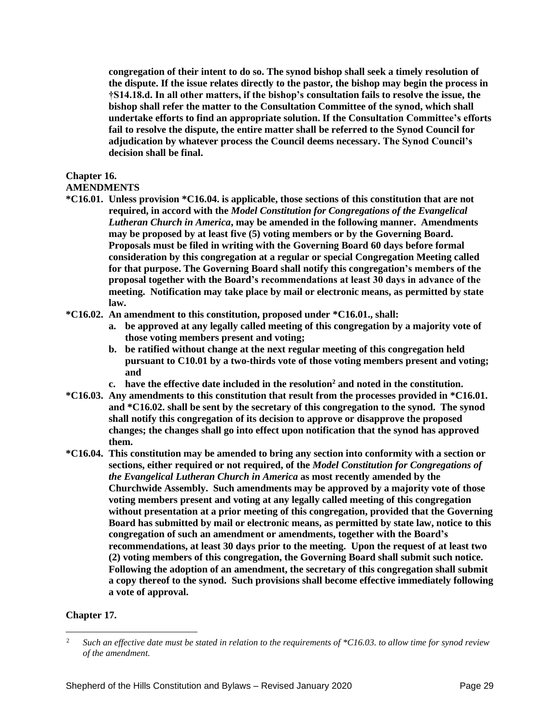**congregation of their intent to do so. The synod bishop shall seek a timely resolution of the dispute. If the issue relates directly to the pastor, the bishop may begin the process in †S14.18.d. In all other matters, if the bishop's consultation fails to resolve the issue, the bishop shall refer the matter to the Consultation Committee of the synod, which shall undertake efforts to find an appropriate solution. If the Consultation Committee's efforts fail to resolve the dispute, the entire matter shall be referred to the Synod Council for adjudication by whatever process the Council deems necessary. The Synod Council's decision shall be final.**

## **Chapter 16.**

# **AMENDMENTS**

- **\*C16.01. Unless provision \*C16.04. is applicable, those sections of this constitution that are not required, in accord with the** *Model Constitution for Congregations of the Evangelical Lutheran Church in America***, may be amended in the following manner. Amendments may be proposed by at least five (5) voting members or by the Governing Board. Proposals must be filed in writing with the Governing Board 60 days before formal consideration by this congregation at a regular or special Congregation Meeting called for that purpose. The Governing Board shall notify this congregation's members of the proposal together with the Board's recommendations at least 30 days in advance of the meeting. Notification may take place by mail or electronic means, as permitted by state law.**
- **\*C16.02. An amendment to this constitution, proposed under \*C16.01., shall:**
	- **a. be approved at any legally called meeting of this congregation by a majority vote of those voting members present and voting;**
	- **b. be ratified without change at the next regular meeting of this congregation held pursuant to C10.01 by a two-thirds vote of those voting members present and voting; and**
	- **c. have the effective date included in the resolution<sup>2</sup> and noted in the constitution.\*\*\***
- **\*C16.03. Any amendments to this constitution that result from the processes provided in \*C16.01. and \*C16.02. shall be sent by the secretary of this congregation to the synod. The synod shall notify this congregation of its decision to approve or disapprove the proposed changes; the changes shall go into effect upon notification that the synod has approved them.**
- **\*C16.04. This constitution may be amended to bring any section into conformity with a section or sections, either required or not required, of the** *Model Constitution for Congregations of the Evangelical Lutheran Church in America* **as most recently amended by the Churchwide Assembly. Such amendments may be approved by a majority vote of those voting members present and voting at any legally called meeting of this congregation without presentation at a prior meeting of this congregation, provided that the Governing Board has submitted by mail or electronic means, as permitted by state law, notice to this congregation of such an amendment or amendments, together with the Board's recommendations, at least 30 days prior to the meeting. Upon the request of at least two (2) voting members of this congregation, the Governing Board shall submit such notice. Following the adoption of an amendment, the secretary of this congregation shall submit a copy thereof to the synod. Such provisions shall become effective immediately following a vote of approval.**

# **Chapter 17.**

<sup>2</sup> *Such an effective date must be stated in relation to the requirements of \*C16.03. to allow time for synod review of the amendment.*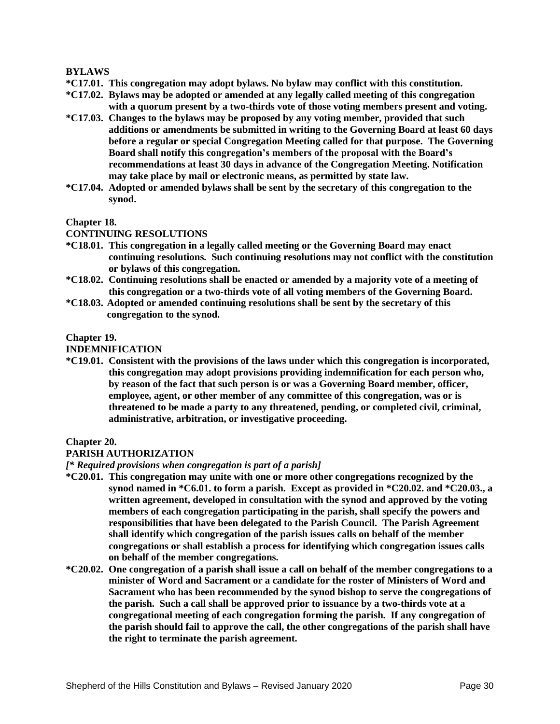## **BYLAWS**

- **\*C17.01. This congregation may adopt bylaws. No bylaw may conflict with this constitution.**
- **\*C17.02. Bylaws may be adopted or amended at any legally called meeting of this congregation with a quorum present by a two-thirds vote of those voting members present and voting.**
- **\*C17.03. Changes to the bylaws may be proposed by any voting member, provided that such additions or amendments be submitted in writing to the Governing Board at least 60 days before a regular or special Congregation Meeting called for that purpose. The Governing Board shall notify this congregation's members of the proposal with the Board's recommendations at least 30 days in advance of the Congregation Meeting. Notification may take place by mail or electronic means, as permitted by state law.**
- **\*C17.04. Adopted or amended bylaws shall be sent by the secretary of this congregation to the synod.**

### **Chapter 18.**

### **CONTINUING RESOLUTIONS**

- **\*C18.01. This congregation in a legally called meeting or the Governing Board may enact continuing resolutions. Such continuing resolutions may not conflict with the constitution or bylaws of this congregation.**
- **\*C18.02. Continuing resolutions shall be enacted or amended by a majority vote of a meeting of this congregation or a two-thirds vote of all voting members of the Governing Board.**
- **\*C18.03. Adopted or amended continuing resolutions shall be sent by the secretary of this congregation to the synod.**

#### **Chapter 19.**

#### **INDEMNIFICATION**

**\*C19.01. Consistent with the provisions of the laws under which this congregation is incorporated, this congregation may adopt provisions providing indemnification for each person who, by reason of the fact that such person is or was a Governing Board member, officer, employee, agent, or other member of any committee of this congregation, was or is threatened to be made a party to any threatened, pending, or completed civil, criminal, administrative, arbitration, or investigative proceeding.**

### **Chapter 20.**

### **PARISH AUTHORIZATION**

#### *[\* Required provisions when congregation is part of a parish]*

- **\*C20.01. This congregation may unite with one or more other congregations recognized by the synod named in \*C6.01. to form a parish. Except as provided in \*C20.02. and \*C20.03., a written agreement, developed in consultation with the synod and approved by the voting members of each congregation participating in the parish, shall specify the powers and responsibilities that have been delegated to the Parish Council. The Parish Agreement shall identify which congregation of the parish issues calls on behalf of the member congregations or shall establish a process for identifying which congregation issues calls on behalf of the member congregations.**
- **\*C20.02. One congregation of a parish shall issue a call on behalf of the member congregations to a minister of Word and Sacrament or a candidate for the roster of Ministers of Word and Sacrament who has been recommended by the synod bishop to serve the congregations of the parish. Such a call shall be approved prior to issuance by a two-thirds vote at a congregational meeting of each congregation forming the parish. If any congregation of the parish should fail to approve the call, the other congregations of the parish shall have the right to terminate the parish agreement.**